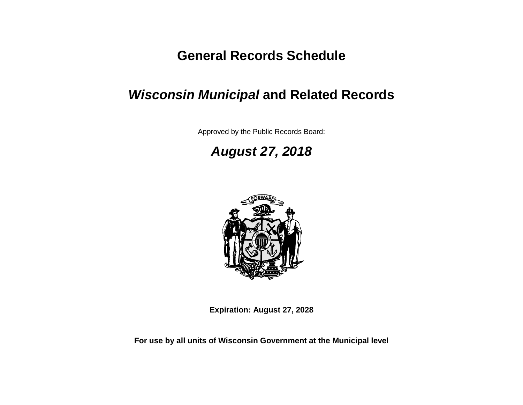# **General Records Schedule**

# *Wisconsin Municipal* **and Related Records**

Approved by the Public Records Board:

# *August 27, 2018*



**Expiration: August 27, 2028**

**For use by all units of Wisconsin Government at the Municipal level**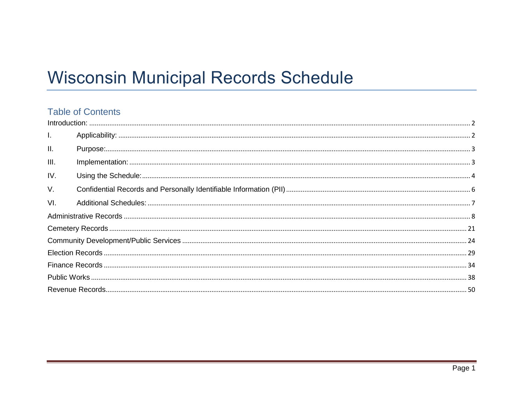# **Wisconsin Municipal Records Schedule**

<span id="page-1-0"></span>

| $\mathbf{L}$    |  |
|-----------------|--|
| $\mathbf{II}$ . |  |
| III.            |  |
| IV.             |  |
| $V_{\cdot}$     |  |
| VI.             |  |
|                 |  |
|                 |  |
|                 |  |
|                 |  |
|                 |  |
|                 |  |
|                 |  |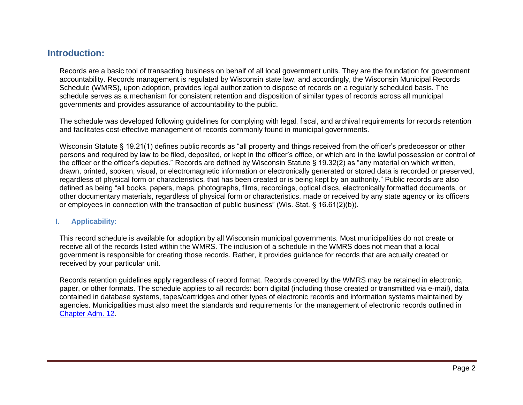# <span id="page-2-0"></span>**Introduction:**

Records are a basic tool of transacting business on behalf of all local government units. They are the foundation for government accountability. Records management is regulated by Wisconsin state law, and accordingly, the Wisconsin Municipal Records Schedule (WMRS), upon adoption, provides legal authorization to dispose of records on a regularly scheduled basis. The schedule serves as a mechanism for consistent retention and disposition of similar types of records across all municipal governments and provides assurance of accountability to the public.

The schedule was developed following guidelines for complying with legal, fiscal, and archival requirements for records retention and facilitates cost-effective management of records commonly found in municipal governments.

Wisconsin Statute § 19.21(1) defines public records as "all property and things received from the officer's predecessor or other persons and required by law to be filed, deposited, or kept in the officer's office, or which are in the lawful possession or control of the officer or the officer's deputies." Records are defined by Wisconsin Statute § 19.32(2) as "any material on which written, drawn, printed, spoken, visual, or electromagnetic information or electronically generated or stored data is recorded or preserved, regardless of physical form or characteristics, that has been created or is being kept by an authority." Public records are also defined as being "all books, papers, maps, photographs, films, recordings, optical discs, electronically formatted documents, or other documentary materials, regardless of physical form or characteristics, made or received by any state agency or its officers or employees in connection with the transaction of public business" (Wis. Stat. § 16.61(2)(b)).

#### <span id="page-2-1"></span>**I. Applicability:**

This record schedule is available for adoption by all Wisconsin municipal governments. Most municipalities do not create or receive all of the records listed within the WMRS. The inclusion of a schedule in the WMRS does not mean that a local government is responsible for creating those records. Rather, it provides guidance for records that are actually created or received by your particular unit.

Records retention guidelines apply regardless of record format. Records covered by the WMRS may be retained in electronic, paper, or other formats. The schedule applies to all records: born digital (including those created or transmitted via e-mail), data contained in database systems, tapes/cartridges and other types of electronic records and information systems maintained by agencies. Municipalities must also meet the standards and requirements for the management of electronic records outlined in [Chapter Adm. 12.](http://publicrecordsboard.wi.gov/docview.asp?docid=15970&locid=165)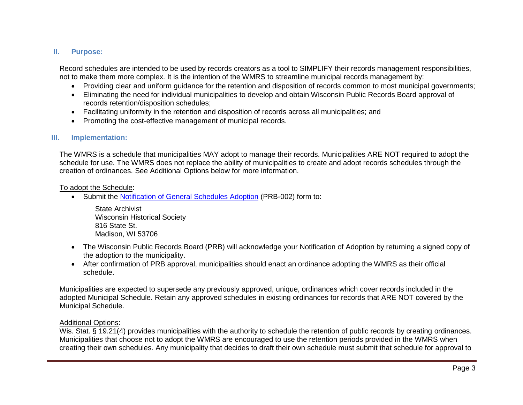#### <span id="page-3-0"></span>**II. Purpose:**

Record schedules are intended to be used by records creators as a tool to SIMPLIFY their records management responsibilities, not to make them more complex. It is the intention of the WMRS to streamline municipal records management by:

- Providing clear and uniform guidance for the retention and disposition of records common to most municipal governments;
- Eliminating the need for individual municipalities to develop and obtain Wisconsin Public Records Board approval of records retention/disposition schedules;
- Facilitating uniformity in the retention and disposition of records across all municipalities; and
- Promoting the cost-effective management of municipal records.

#### <span id="page-3-1"></span>**III. Implementation:**

The WMRS is a schedule that municipalities MAY adopt to manage their records. Municipalities ARE NOT required to adopt the schedule for use. The WMRS does not replace the ability of municipalities to create and adopt records schedules through the creation of ordinances. See Additional Options below for more information.

#### To adopt the Schedule:

• Submit the [Notification of General Schedules Adoption](http://publicrecordsboard.wi.gov/docview.asp?docid=15860&locid=165) (PRB-002) form to:

State Archivist Wisconsin Historical Society 816 State St. Madison, WI 53706

- The Wisconsin Public Records Board (PRB) will acknowledge your Notification of Adoption by returning a signed copy of the adoption to the municipality.
- After confirmation of PRB approval, municipalities should enact an ordinance adopting the WMRS as their official schedule.

Municipalities are expected to supersede any previously approved, unique, ordinances which cover records included in the adopted Municipal Schedule. Retain any approved schedules in existing ordinances for records that ARE NOT covered by the Municipal Schedule.

#### Additional Options:

Wis. Stat. § 19.21(4) provides municipalities with the authority to schedule the retention of public records by creating ordinances. Municipalities that choose not to adopt the WMRS are encouraged to use the retention periods provided in the WMRS when creating their own schedules. Any municipality that decides to draft their own schedule must submit that schedule for approval to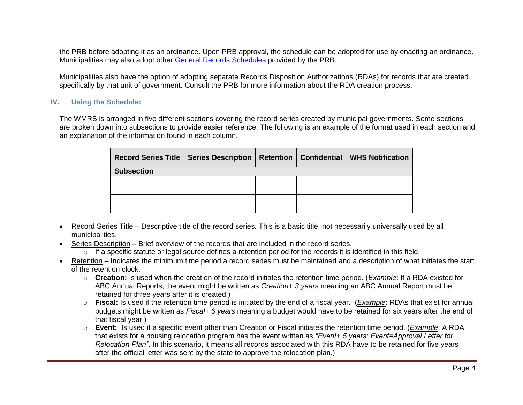the PRB before adopting it as an ordinance. Upon PRB approval, the schedule can be adopted for use by enacting an ordinance. Municipalities may also adopt other [General Records Schedules](http://publicrecordsboard.wi.gov/Docs_by_cat_type.asp?doccatid=678&locid=165) provided by the PRB.

Municipalities also have the option of adopting separate Records Disposition Authorizations (RDAs) for records that are created specifically by that unit of government. Consult the PRB for more information about the RDA creation process.

#### <span id="page-4-0"></span>**IV. Using the Schedule:**

The WMRS is arranged in five different sections covering the record series created by municipal governments. Some sections are broken down into subsections to provide easier reference. The following is an example of the format used in each section and an explanation of the information found in each column.

|                   | Record Series Title   Series Description   Retention   Confidential   WHS Notification |  |  |
|-------------------|----------------------------------------------------------------------------------------|--|--|
| <b>Subsection</b> |                                                                                        |  |  |
|                   |                                                                                        |  |  |
|                   |                                                                                        |  |  |
|                   |                                                                                        |  |  |
|                   |                                                                                        |  |  |

- Record Series Title Descriptive title of the record series. This is a basic title, not necessarily universally used by all municipalities.
- Series Description Brief overview of the records that are included in the record series.
	- $\circ$  If a specific statute or legal source defines a retention period for the records it is identified in this field.
- Retention Indicates the minimum time period a record series must be maintained and a description of what initiates the start of the retention clock.
	- o **Creation:** Is used when the creation of the record initiates the retention time period. (*Example*: If a RDA existed for ABC Annual Reports, the event might be written as *Creation+ 3 years* meaning an ABC Annual Report must be retained for three years after it is created.)
	- o **Fiscal:** Is used if the retention time period is initiated by the end of a fiscal year. (*Example*: RDAs that exist for annual budgets might be written as *Fiscal+ 6 years* meaning a budget would have to be retained for six years after the end of that fiscal year.)
	- o **Event:** Is used if a specific event other than Creation or Fiscal initiates the retention time period. (*Example*: A RDA that exists for a housing relocation program has the event written as *"Event+ 5 years; Event=Approval Letter for Relocation Plan"*. In this scenario, it means all records associated with this RDA have to be retained for five years after the official letter was sent by the state to approve the relocation plan.)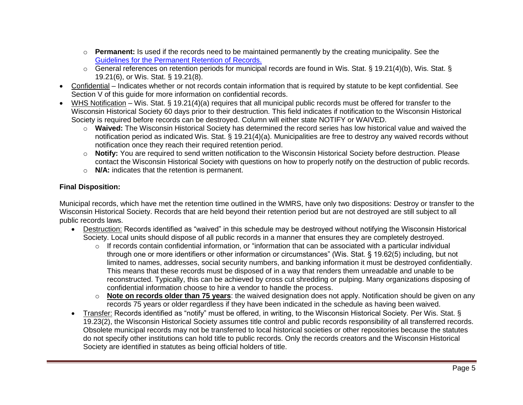- o **Permanent:** Is used if the records need to be maintained permanently by the creating municipality. See the [Guidelines for the Permanent Retention of Records.](http://publicrecordsboard.wi.gov/docview.asp?docid=19194&locid=165)
- o General references on retention periods for municipal records are found in Wis. Stat. § 19.21(4)(b), Wis. Stat. § 19.21(6), or Wis. Stat. § 19.21(8).
- Confidential Indicates whether or not records contain information that is required by statute to be kept confidential. See Section V of this guide for more information on confidential records.
- WHS Notification Wis. Stat. § 19.21(4)(a) requires that all municipal public records must be offered for transfer to the Wisconsin Historical Society 60 days prior to their destruction. This field indicates if notification to the Wisconsin Historical Society is required before records can be destroyed. Column will either state NOTIFY or WAIVED.
	- o **Waived:** The Wisconsin Historical Society has determined the record series has low historical value and waived the notification period as indicated Wis. Stat. § 19.21(4)(a). Municipalities are free to destroy any waived records without notification once they reach their required retention period.
	- o **Notify:** You are required to send written notification to the Wisconsin Historical Society before destruction. Please contact the Wisconsin Historical Society with questions on how to properly notify on the destruction of public records.
	- o **N/A:** indicates that the retention is permanent.

#### **Final Disposition:**

Municipal records, which have met the retention time outlined in the WMRS, have only two dispositions: Destroy or transfer to the Wisconsin Historical Society. Records that are held beyond their retention period but are not destroyed are still subject to all public records laws.

- Destruction: Records identified as "waived" in this schedule may be destroyed without notifying the Wisconsin Historical Society. Local units should dispose of all public records in a manner that ensures they are completely destroyed.
	- $\circ$  If records contain confidential information, or "information that can be associated with a particular individual through one or more identifiers or other information or circumstances" (Wis. Stat. § 19.62(5) including, but not limited to names, addresses, social security numbers, and banking information it must be destroyed confidentially. This means that these records must be disposed of in a way that renders them unreadable and unable to be reconstructed. Typically, this can be achieved by cross cut shredding or pulping. Many organizations disposing of confidential information choose to hire a vendor to handle the process.
	- o **Note on records older than 75 years**: the waived designation does not apply. Notification should be given on any records 75 years or older regardless if they have been indicated in the schedule as having been waived.
- Transfer: Records identified as "notify" must be offered, in writing, to the Wisconsin Historical Society. Per Wis. Stat. § 19.23(2), the Wisconsin Historical Society assumes title control and public records responsibility of all transferred records. Obsolete municipal records may not be transferred to local historical societies or other repositories because the statutes do not specify other institutions can hold title to public records. Only the records creators and the Wisconsin Historical Society are identified in statutes as being official holders of title.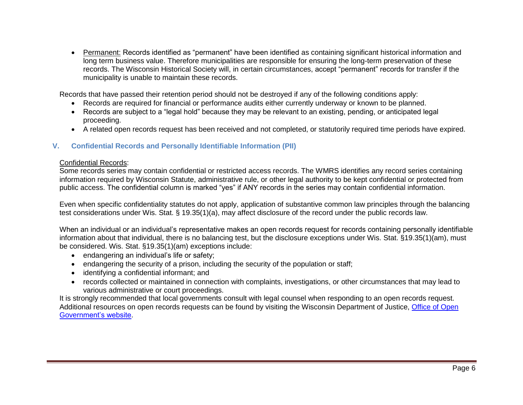• Permanent: Records identified as "permanent" have been identified as containing significant historical information and long term business value. Therefore municipalities are responsible for ensuring the long-term preservation of these records. The Wisconsin Historical Society will, in certain circumstances, accept "permanent" records for transfer if the municipality is unable to maintain these records.

Records that have passed their retention period should not be destroyed if any of the following conditions apply:

- Records are required for financial or performance audits either currently underway or known to be planned.
- Records are subject to a "legal hold" because they may be relevant to an existing, pending, or anticipated legal proceeding.
- A related open records request has been received and not completed, or statutorily required time periods have expired.

#### <span id="page-6-0"></span>**V. Confidential Records and Personally Identifiable Information (PII)**

#### <span id="page-6-1"></span>Confidential Records:

Some records series may contain confidential or restricted access records. The WMRS identifies any record series containing information required by Wisconsin Statute, administrative rule, or other legal authority to be kept confidential or protected from public access. The confidential column is marked "yes" if ANY records in the series may contain confidential information.

Even when specific confidentiality statutes do not apply, application of substantive common law principles through the balancing test considerations under Wis. Stat. § 19.35(1)(a), may affect disclosure of the record under the public records law.

When an individual or an individual's representative makes an open records request for records containing personally identifiable information about that individual, there is no balancing test, but the disclosure exceptions under Wis. Stat. §19.35(1)(am), must be considered. Wis. Stat. §19.35(1)(am) exceptions include:

- endangering an individual's life or safety;
- endangering the security of a prison, including the security of the population or staff;
- identifying a confidential informant; and
- records collected or maintained in connection with complaints, investigations, or other circumstances that may lead to various administrative or court proceedings.

It is strongly recommended that local governments consult with legal counsel when responding to an open records request. Additional resources on open records requests can be found by visiting the Wisconsin Department of Justice, [Office of Open](https://www.doj.state.wi.us/office-open-government/office-open-government)  [Government's website.](https://www.doj.state.wi.us/office-open-government/office-open-government)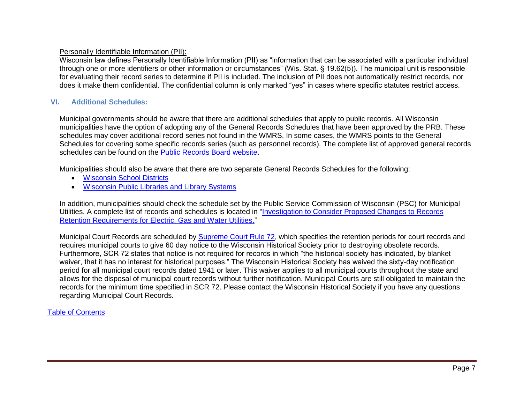#### Personally Identifiable Information (PII):

Wisconsin law defines Personally Identifiable Information (PII) as "information that can be associated with a particular individual through one or more identifiers or other information or circumstances" (Wis. Stat. § 19.62(5)). The municipal unit is responsible for evaluating their record series to determine if PII is included. The inclusion of PII does not automatically restrict records, nor does it make them confidential. The confidential column is only marked "yes" in cases where specific statutes restrict access.

#### <span id="page-7-0"></span>**VI. Additional Schedules:**

Municipal governments should be aware that there are additional schedules that apply to public records. All Wisconsin municipalities have the option of adopting any of the General Records Schedules that have been approved by the PRB. These schedules may cover additional record series not found in the WMRS. In some cases, the WMRS points to the General Schedules for covering some specific records series (such as personnel records). The complete list of approved general records schedules can be found on the [Public Records Board website.](http://publicrecordsboard.wi.gov/docs_all.asp?locid=165)

Municipalities should also be aware that there are two separate General Records Schedules for the following:

- [Wisconsin School Districts](http://publicrecordsboard.wi.gov/docview.asp?docid=15892&locid=165)
- [Wisconsin Public Libraries and Library Systems](http://publicrecordsboard.wi.gov/docview.asp?docid=15891&locid=165)

In addition, municipalities should check the schedule set by the Public Service Commission of Wisconsin (PSC) for Municipal Utilities. A complete list of records and schedules is located in ["Investigation to Consider Proposed Changes to Records](https://psc.wi.gov/Documents/recordsRetentionGuidelines.pdf)  [Retention Requirements for Electric, Gas and Water Utilities."](https://psc.wi.gov/Documents/recordsRetentionGuidelines.pdf)

Municipal Court Records are scheduled by [Supreme Court Rule 72,](http://docs.legis.wisconsin.gov/misc/scr/72) which specifies the retention periods for court records and requires municipal courts to give 60 day notice to the Wisconsin Historical Society prior to destroying obsolete records. Furthermore, SCR 72 states that notice is not required for records in which "the historical society has indicated, by blanket waiver, that it has no interest for historical purposes." The Wisconsin Historical Society has waived the sixty-day notification period for all municipal court records dated 1941 or later. This waiver applies to all municipal courts throughout the state and allows for the disposal of municipal court records without further notification. Municipal Courts are still obligated to maintain the records for the minimum time specified in SCR 72. Please contact the Wisconsin Historical Society if you have any questions regarding Municipal Court Records.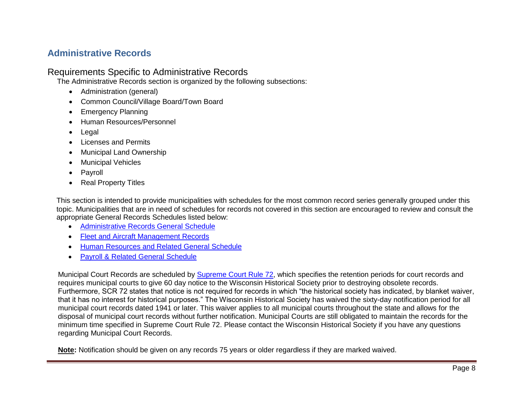# <span id="page-8-0"></span>**Administrative Records**

#### Requirements Specific to Administrative Records

The Administrative Records section is organized by the following subsections:

- Administration (general)
- Common Council/Village Board/Town Board
- Emergency Planning
- Human Resources/Personnel
- Legal
- Licenses and Permits
- Municipal Land Ownership
- Municipal Vehicles
- Payroll
- Real Property Titles

This section is intended to provide municipalities with schedules for the most common record series generally grouped under this topic. Municipalities that are in need of schedules for records not covered in this section are encouraged to review and consult the appropriate General Records Schedules listed below:

- [Administrative Records General Schedule](http://publicrecordsboard.wi.gov/docview.asp?docid=15863&locid=165)
- [Fleet and Aircraft Management Records](http://publicrecordsboard.wi.gov/docview.asp?docid=15883&locid=165)
- [Human Resources and Related General Schedule](http://publicrecordsboard.wi.gov/docview.asp?docid=20705&locid=165)
- [Payroll & Related General Schedule](http://publicrecordsboard.wi.gov/docview.asp?docid=20705&locid=165)

Municipal Court Records are scheduled by [Supreme Court Rule 72,](http://docs.legis.wisconsin.gov/misc/scr/72) which specifies the retention periods for court records and requires municipal courts to give 60 day notice to the Wisconsin Historical Society prior to destroying obsolete records. Furthermore, SCR 72 states that notice is not required for records in which "the historical society has indicated, by blanket waiver, that it has no interest for historical purposes." The Wisconsin Historical Society has waived the sixty-day notification period for all municipal court records dated 1941 or later. This waiver applies to all municipal courts throughout the state and allows for the disposal of municipal court records without further notification. Municipal Courts are still obligated to maintain the records for the minimum time specified in Supreme Court Rule 72. Please contact the Wisconsin Historical Society if you have any questions regarding Municipal Court Records.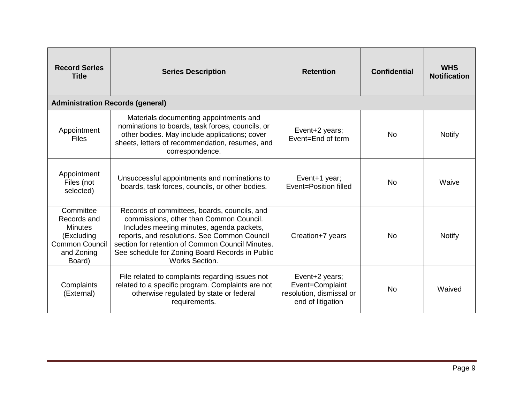| <b>Record Series</b><br><b>Title</b>                                                                      | <b>Series Description</b>                                                                                                                                                                                                                                                                                     | <b>Retention</b>                                                                   | <b>Confidential</b> | <b>WHS</b><br><b>Notification</b> |
|-----------------------------------------------------------------------------------------------------------|---------------------------------------------------------------------------------------------------------------------------------------------------------------------------------------------------------------------------------------------------------------------------------------------------------------|------------------------------------------------------------------------------------|---------------------|-----------------------------------|
| <b>Administration Records (general)</b>                                                                   |                                                                                                                                                                                                                                                                                                               |                                                                                    |                     |                                   |
| Appointment<br><b>Files</b>                                                                               | Materials documenting appointments and<br>nominations to boards, task forces, councils, or<br>other bodies. May include applications; cover<br>sheets, letters of recommendation, resumes, and<br>correspondence.                                                                                             | Event+2 years;<br>Event=End of term                                                | <b>No</b>           | <b>Notify</b>                     |
| Appointment<br>Files (not<br>selected)                                                                    | Unsuccessful appointments and nominations to<br>boards, task forces, councils, or other bodies.                                                                                                                                                                                                               | Event+1 year;<br>Event=Position filled                                             | <b>No</b>           | Waive                             |
| Committee<br>Records and<br><b>Minutes</b><br>(Excluding<br><b>Common Council</b><br>and Zoning<br>Board) | Records of committees, boards, councils, and<br>commissions, other than Common Council.<br>Includes meeting minutes, agenda packets,<br>reports, and resolutions. See Common Council<br>section for retention of Common Council Minutes.<br>See schedule for Zoning Board Records in Public<br>Works Section. | Creation+7 years                                                                   | No.                 | <b>Notify</b>                     |
| Complaints<br>(External)                                                                                  | File related to complaints regarding issues not<br>related to a specific program. Complaints are not<br>otherwise regulated by state or federal<br>requirements.                                                                                                                                              | Event+2 years;<br>Event=Complaint<br>resolution, dismissal or<br>end of litigation | <b>No</b>           | Waived                            |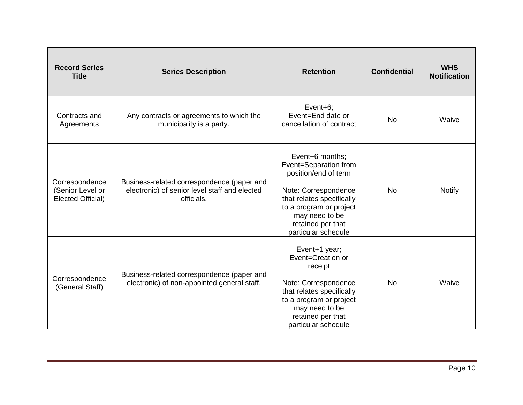| <b>Record Series</b><br><b>Title</b>                    | <b>Series Description</b>                                                                                 | <b>Retention</b>                                                                                                                                                                                               | <b>Confidential</b> | <b>WHS</b><br><b>Notification</b> |
|---------------------------------------------------------|-----------------------------------------------------------------------------------------------------------|----------------------------------------------------------------------------------------------------------------------------------------------------------------------------------------------------------------|---------------------|-----------------------------------|
| Contracts and<br>Agreements                             | Any contracts or agreements to which the<br>municipality is a party.                                      | Event+6;<br>Event=End date or<br>cancellation of contract                                                                                                                                                      | <b>No</b>           | Waive                             |
| Correspondence<br>(Senior Level or<br>Elected Official) | Business-related correspondence (paper and<br>electronic) of senior level staff and elected<br>officials. | Event+6 months;<br>Event=Separation from<br>position/end of term<br>Note: Correspondence<br>that relates specifically<br>to a program or project<br>may need to be<br>retained per that<br>particular schedule | <b>No</b>           | <b>Notify</b>                     |
| Correspondence<br>(General Staff)                       | Business-related correspondence (paper and<br>electronic) of non-appointed general staff.                 | Event+1 year;<br>Event=Creation or<br>receipt<br>Note: Correspondence<br>that relates specifically<br>to a program or project<br>may need to be<br>retained per that<br>particular schedule                    | <b>No</b>           | Waive                             |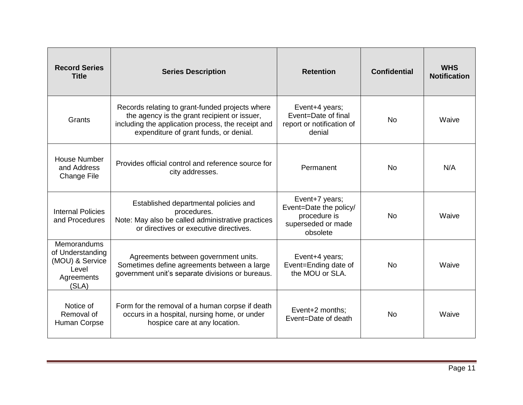| <b>Record Series</b><br><b>Title</b>                                                      | <b>Series Description</b>                                                                                                                                                                       | <b>Retention</b>                                                                           | <b>Confidential</b> | <b>WHS</b><br><b>Notification</b> |
|-------------------------------------------------------------------------------------------|-------------------------------------------------------------------------------------------------------------------------------------------------------------------------------------------------|--------------------------------------------------------------------------------------------|---------------------|-----------------------------------|
| Grants                                                                                    | Records relating to grant-funded projects where<br>the agency is the grant recipient or issuer,<br>including the application process, the receipt and<br>expenditure of grant funds, or denial. | Event+4 years;<br>Event=Date of final<br>report or notification of<br>denial               | <b>No</b>           | Waive                             |
| <b>House Number</b><br>and Address<br><b>Change File</b>                                  | Provides official control and reference source for<br>city addresses.                                                                                                                           | Permanent                                                                                  | <b>No</b>           | N/A                               |
| <b>Internal Policies</b><br>and Procedures                                                | Established departmental policies and<br>procedures.<br>Note: May also be called administrative practices<br>or directives or executive directives.                                             | Event+7 years;<br>Event=Date the policy/<br>procedure is<br>superseded or made<br>obsolete | <b>No</b>           | Waive                             |
| <b>Memorandums</b><br>of Understanding<br>(MOU) & Service<br>Level<br>Agreements<br>(SLA) | Agreements between government units.<br>Sometimes define agreements between a large<br>government unit's separate divisions or bureaus.                                                         | Event+4 years;<br>Event=Ending date of<br>the MOU or SLA.                                  | <b>No</b>           | Waive                             |
| Notice of<br>Removal of<br>Human Corpse                                                   | Form for the removal of a human corpse if death<br>occurs in a hospital, nursing home, or under<br>hospice care at any location.                                                                | Event+2 months;<br>Event=Date of death                                                     | <b>No</b>           | Waive                             |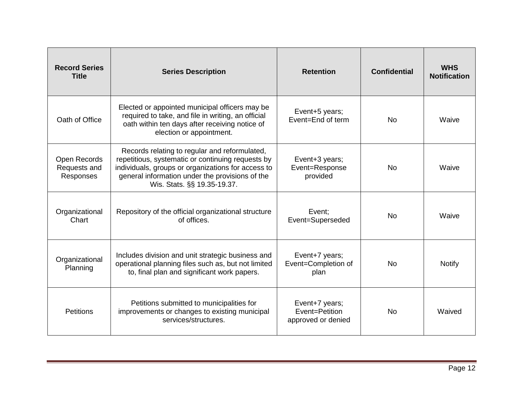| <b>Record Series</b><br><b>Title</b>             | <b>Series Description</b>                                                                                                                                                                                                                  | <b>Retention</b>                                       | <b>Confidential</b> | <b>WHS</b><br><b>Notification</b> |
|--------------------------------------------------|--------------------------------------------------------------------------------------------------------------------------------------------------------------------------------------------------------------------------------------------|--------------------------------------------------------|---------------------|-----------------------------------|
| Oath of Office                                   | Elected or appointed municipal officers may be<br>required to take, and file in writing, an official<br>oath within ten days after receiving notice of<br>election or appointment.                                                         | Event+5 years;<br>Event=End of term                    | No.                 | Waive                             |
| <b>Open Records</b><br>Requests and<br>Responses | Records relating to regular and reformulated,<br>repetitious, systematic or continuing requests by<br>individuals, groups or organizations for access to<br>general information under the provisions of the<br>Wis. Stats. §§ 19.35-19.37. | Event+3 years;<br>Event=Response<br>provided           | No.                 | Waive                             |
| Organizational<br>Chart                          | Repository of the official organizational structure<br>of offices.                                                                                                                                                                         | Event:<br>Event=Superseded                             | <b>No</b>           | Waive                             |
| Organizational<br>Planning                       | Includes division and unit strategic business and<br>operational planning files such as, but not limited<br>to, final plan and significant work papers.                                                                                    | Event+7 years;<br>Event=Completion of<br>plan          | <b>No</b>           | <b>Notify</b>                     |
| <b>Petitions</b>                                 | Petitions submitted to municipalities for<br>improvements or changes to existing municipal<br>services/structures.                                                                                                                         | Event+7 years;<br>Event=Petition<br>approved or denied | <b>No</b>           | Waived                            |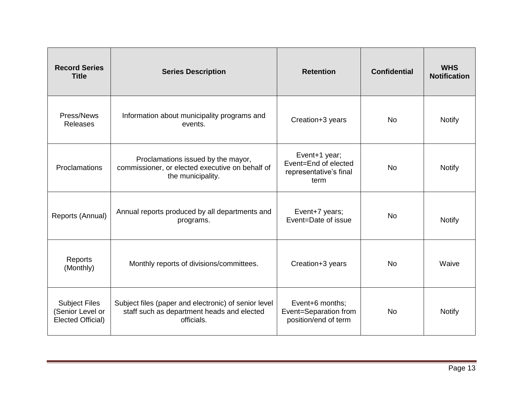| <b>Record Series</b><br><b>Title</b>                                 | <b>Series Description</b>                                                                                        | <b>Retention</b>                                                        | <b>Confidential</b> | <b>WHS</b><br><b>Notification</b> |
|----------------------------------------------------------------------|------------------------------------------------------------------------------------------------------------------|-------------------------------------------------------------------------|---------------------|-----------------------------------|
| Press/News<br><b>Releases</b>                                        | Information about municipality programs and<br>events.                                                           | Creation+3 years                                                        | <b>No</b>           | <b>Notify</b>                     |
| Proclamations                                                        | Proclamations issued by the mayor,<br>commissioner, or elected executive on behalf of<br>the municipality.       | Event+1 year;<br>Event=End of elected<br>representative's final<br>term | <b>No</b>           | <b>Notify</b>                     |
| Reports (Annual)                                                     | Annual reports produced by all departments and<br>programs.                                                      | Event+7 years;<br>Event=Date of issue                                   | <b>No</b>           | <b>Notify</b>                     |
| Reports<br>(Monthly)                                                 | Monthly reports of divisions/committees.                                                                         | Creation+3 years                                                        | <b>No</b>           | Waive                             |
| <b>Subject Files</b><br>(Senior Level or<br><b>Elected Official)</b> | Subject files (paper and electronic) of senior level<br>staff such as department heads and elected<br>officials. | Event+6 months;<br>Event=Separation from<br>position/end of term        | <b>No</b>           | <b>Notify</b>                     |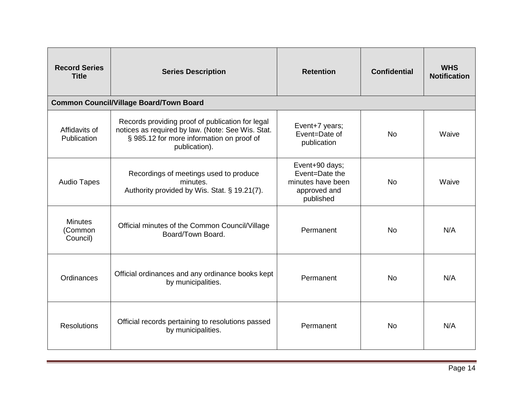| <b>Record Series</b><br><b>Title</b>  | <b>Series Description</b>                                                                                                                                           | <b>Retention</b>                                                                   | <b>Confidential</b> | <b>WHS</b><br><b>Notification</b> |
|---------------------------------------|---------------------------------------------------------------------------------------------------------------------------------------------------------------------|------------------------------------------------------------------------------------|---------------------|-----------------------------------|
|                                       | <b>Common Council/Village Board/Town Board</b>                                                                                                                      |                                                                                    |                     |                                   |
| Affidavits of<br>Publication          | Records providing proof of publication for legal<br>notices as required by law. (Note: See Wis. Stat.<br>§ 985.12 for more information on proof of<br>publication). | Event+7 years;<br>Event=Date of<br>publication                                     | <b>No</b>           | Waive                             |
| <b>Audio Tapes</b>                    | Recordings of meetings used to produce<br>minutes.<br>Authority provided by Wis. Stat. § 19.21(7).                                                                  | Event+90 days;<br>Event=Date the<br>minutes have been<br>approved and<br>published | <b>No</b>           | Waive                             |
| <b>Minutes</b><br>(Common<br>Council) | Official minutes of the Common Council/Village<br>Board/Town Board.                                                                                                 | Permanent                                                                          | <b>No</b>           | N/A                               |
| Ordinances                            | Official ordinances and any ordinance books kept<br>by municipalities.                                                                                              | Permanent                                                                          | <b>No</b>           | N/A                               |
| <b>Resolutions</b>                    | Official records pertaining to resolutions passed<br>by municipalities.                                                                                             | Permanent                                                                          | <b>No</b>           | N/A                               |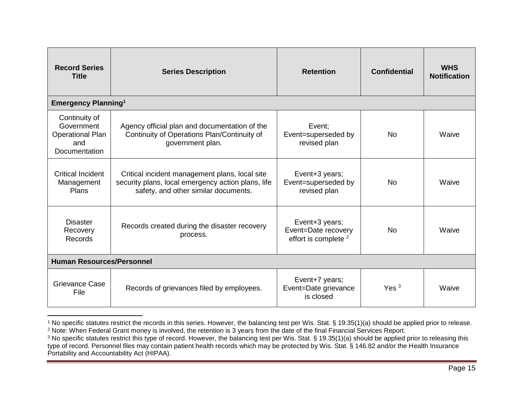| <b>Record Series</b><br><b>Title</b>                                                  | <b>Series Description</b>                                                                                                                    | <b>Retention</b>                                                         | <b>Confidential</b> | <b>WHS</b><br><b>Notification</b> |
|---------------------------------------------------------------------------------------|----------------------------------------------------------------------------------------------------------------------------------------------|--------------------------------------------------------------------------|---------------------|-----------------------------------|
| <b>Emergency Planning<sup>1</sup></b>                                                 |                                                                                                                                              |                                                                          |                     |                                   |
| Continuity of<br>Government<br><b>Operational Plan</b><br>and<br><b>Documentation</b> | Agency official plan and documentation of the<br>Continuity of Operations Plan/Continuity of<br>government plan.                             | Event:<br>Event=superseded by<br>revised plan                            | N <sub>0</sub>      | Waive                             |
| <b>Critical Incident</b><br>Management<br>Plans                                       | Critical incident management plans, local site<br>security plans, local emergency action plans, life<br>safety, and other similar documents. | Event+3 years;<br>Event=superseded by<br>revised plan                    | N <sub>0</sub>      | Waive                             |
| <b>Disaster</b><br>Recovery<br>Records                                                | Records created during the disaster recovery<br>process.                                                                                     | Event+3 years;<br>Event=Date recovery<br>effort is complete <sup>2</sup> | <b>No</b>           | Waive                             |
| <b>Human Resources/Personnel</b>                                                      |                                                                                                                                              |                                                                          |                     |                                   |
| Grievance Case<br>File                                                                | Records of grievances filed by employees.                                                                                                    | Event+7 years;<br>Event=Date grievance<br>is closed                      | Yes <sup>3</sup>    | Waive                             |

l <sup>1</sup> No specific statutes restrict the records in this series. However, the balancing test per Wis. Stat. § 19.35(1)(a) should be applied prior to release. <sup>2</sup> Note: When Federal Grant money is involved, the retention is 3 years from the date of the final Financial Services Report.

<sup>&</sup>lt;sup>3</sup> No specific statutes restrict this type of record. However, the balancing test per Wis. Stat. § 19.35(1)(a) should be applied prior to releasing this type of record. Personnel files may contain patient health records which may be protected by Wis. Stat. § 146.82 and/or the Health Insurance Portability and Accountability Act (HIPAA).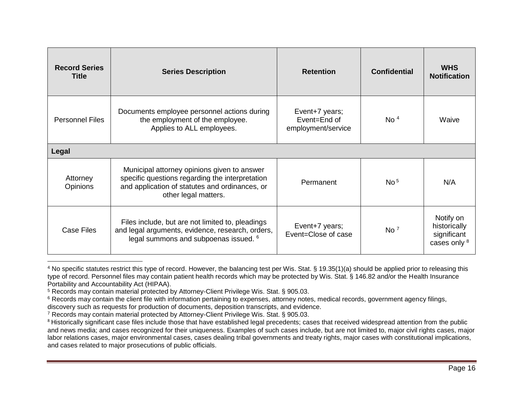| <b>Record Series</b><br>Title | <b>Series Description</b>                                                                                                                                                | <b>Retention</b>                                     | <b>Confidential</b> | <b>WHS</b><br><b>Notification</b>                        |
|-------------------------------|--------------------------------------------------------------------------------------------------------------------------------------------------------------------------|------------------------------------------------------|---------------------|----------------------------------------------------------|
| <b>Personnel Files</b>        | Documents employee personnel actions during<br>the employment of the employee.<br>Applies to ALL employees.                                                              | Event+7 years;<br>Event=End of<br>employment/service | No <sup>4</sup>     | Waive                                                    |
| Legal                         |                                                                                                                                                                          |                                                      |                     |                                                          |
| Attorney<br>Opinions          | Municipal attorney opinions given to answer<br>specific questions regarding the interpretation<br>and application of statutes and ordinances, or<br>other legal matters. | Permanent                                            | No <sup>5</sup>     | N/A                                                      |
| Case Files                    | Files include, but are not limited to, pleadings<br>and legal arguments, evidence, research, orders,<br>legal summons and subpoenas issued. <sup>6</sup>                 | Event+7 years;<br>Event=Close of case                | No <sup>7</sup>     | Notify on<br>historically<br>significant<br>cases only 8 |

<sup>4</sup> No specific statutes restrict this type of record. However, the balancing test per Wis. Stat. § 19.35(1)(a) should be applied prior to releasing this type of record. Personnel files may contain patient health records which may be protected by Wis. Stat. § 146.82 and/or the Health Insurance Portability and Accountability Act (HIPAA).

<sup>5</sup> Records may contain material protected by Attorney-Client Privilege Wis. Stat. § 905.03.

 $\overline{\phantom{a}}$ 

<sup>6</sup> Records may contain the client file with information pertaining to expenses, attorney notes, medical records, government agency filings, discovery such as requests for production of documents, deposition transcripts, and evidence.

<sup>7</sup> Records may contain material protected by Attorney-Client Privilege Wis. Stat. § 905.03.

<sup>8</sup> Historically significant case files include those that have established legal precedents; cases that received widespread attention from the public and news media; and cases recognized for their uniqueness. Examples of such cases include, but are not limited to, major civil rights cases, major labor relations cases, major environmental cases, cases dealing tribal governments and treaty rights, major cases with constitutional implications, and cases related to major prosecutions of public officials.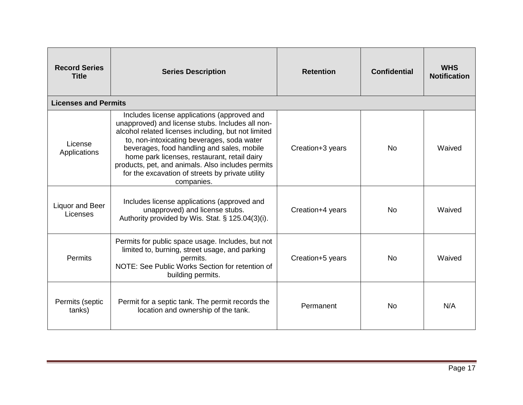| <b>Record Series</b><br><b>Title</b> | <b>Series Description</b>                                                                                                                                                                                                                                                                                                                                                                                                 | <b>Retention</b> | <b>Confidential</b> | <b>WHS</b><br><b>Notification</b> |
|--------------------------------------|---------------------------------------------------------------------------------------------------------------------------------------------------------------------------------------------------------------------------------------------------------------------------------------------------------------------------------------------------------------------------------------------------------------------------|------------------|---------------------|-----------------------------------|
| <b>Licenses and Permits</b>          |                                                                                                                                                                                                                                                                                                                                                                                                                           |                  |                     |                                   |
| License<br>Applications              | Includes license applications (approved and<br>unapproved) and license stubs. Includes all non-<br>alcohol related licenses including, but not limited<br>to, non-intoxicating beverages, soda water<br>beverages, food handling and sales, mobile<br>home park licenses, restaurant, retail dairy<br>products, pet, and animals. Also includes permits<br>for the excavation of streets by private utility<br>companies. | Creation+3 years | No.                 | Waived                            |
| Liquor and Beer<br>Licenses          | Includes license applications (approved and<br>unapproved) and license stubs.<br>Authority provided by Wis. Stat. § 125.04(3)(i).                                                                                                                                                                                                                                                                                         | Creation+4 years | <b>No</b>           | Waived                            |
| Permits                              | Permits for public space usage. Includes, but not<br>limited to, burning, street usage, and parking<br>permits.<br>NOTE: See Public Works Section for retention of<br>building permits.                                                                                                                                                                                                                                   | Creation+5 years | No.                 | Waived                            |
| Permits (septic<br>tanks)            | Permit for a septic tank. The permit records the<br>location and ownership of the tank.                                                                                                                                                                                                                                                                                                                                   | Permanent        | <b>No</b>           | N/A                               |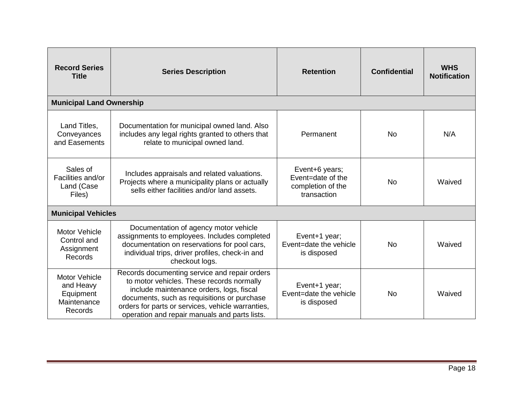| <b>Record Series</b><br><b>Title</b>                                     | <b>Series Description</b>                                                                                                                                                                                                                                                                   | <b>Retention</b>                                                        | <b>Confidential</b> | <b>WHS</b><br><b>Notification</b> |
|--------------------------------------------------------------------------|---------------------------------------------------------------------------------------------------------------------------------------------------------------------------------------------------------------------------------------------------------------------------------------------|-------------------------------------------------------------------------|---------------------|-----------------------------------|
| <b>Municipal Land Ownership</b>                                          |                                                                                                                                                                                                                                                                                             |                                                                         |                     |                                   |
| Land Titles,<br>Conveyances<br>and Easements                             | Documentation for municipal owned land. Also<br>includes any legal rights granted to others that<br>relate to municipal owned land.                                                                                                                                                         | Permanent                                                               | <b>No</b>           | N/A                               |
| Sales of<br>Facilities and/or<br>Land (Case<br>Files)                    | Includes appraisals and related valuations.<br>Projects where a municipality plans or actually<br>sells either facilities and/or land assets.                                                                                                                                               | Event+6 years;<br>Event=date of the<br>completion of the<br>transaction | No                  | Waived                            |
| <b>Municipal Vehicles</b>                                                |                                                                                                                                                                                                                                                                                             |                                                                         |                     |                                   |
| <b>Motor Vehicle</b><br>Control and<br>Assignment<br>Records             | Documentation of agency motor vehicle<br>assignments to employees. Includes completed<br>documentation on reservations for pool cars,<br>individual trips, driver profiles, check-in and<br>checkout logs.                                                                                  | Event+1 year;<br>Event=date the vehicle<br>is disposed                  | <b>No</b>           | Waived                            |
| <b>Motor Vehicle</b><br>and Heavy<br>Equipment<br>Maintenance<br>Records | Records documenting service and repair orders<br>to motor vehicles. These records normally<br>include maintenance orders, logs, fiscal<br>documents, such as requisitions or purchase<br>orders for parts or services, vehicle warranties,<br>operation and repair manuals and parts lists. | Event+1 year;<br>Event=date the vehicle<br>is disposed                  | <b>No</b>           | Waived                            |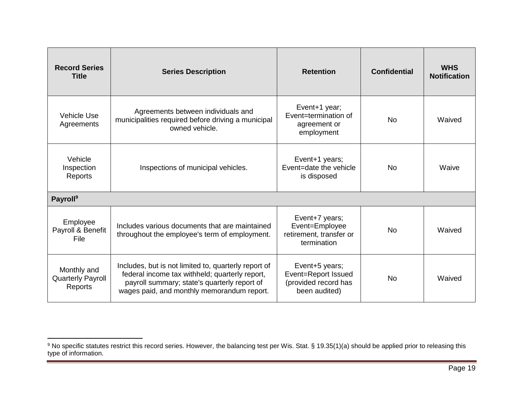| <b>Record Series</b><br><b>Title</b>               | <b>Series Description</b>                                                                                                                                                                            | <b>Retention</b>                                                               | <b>Confidential</b> | <b>WHS</b><br><b>Notification</b> |
|----------------------------------------------------|------------------------------------------------------------------------------------------------------------------------------------------------------------------------------------------------------|--------------------------------------------------------------------------------|---------------------|-----------------------------------|
| <b>Vehicle Use</b><br>Agreements                   | Agreements between individuals and<br>municipalities required before driving a municipal<br>owned vehicle.                                                                                           | Event+1 year;<br>Event=termination of<br>agreement or<br>employment            | <b>No</b>           | Waived                            |
| Vehicle<br>Inspection<br>Reports                   | Inspections of municipal vehicles.                                                                                                                                                                   | Event+1 years;<br>Event=date the vehicle<br>is disposed                        | N <sub>0</sub>      | Waive                             |
| <b>Payroll</b> <sup>9</sup>                        |                                                                                                                                                                                                      |                                                                                |                     |                                   |
| Employee<br>Payroll & Benefit<br>File              | Includes various documents that are maintained<br>throughout the employee's term of employment.                                                                                                      | Event+7 years;<br>Event=Employee<br>retirement, transfer or<br>termination     | <b>No</b>           | Waived                            |
| Monthly and<br><b>Quarterly Payroll</b><br>Reports | Includes, but is not limited to, quarterly report of<br>federal income tax withheld; quarterly report,<br>payroll summary; state's quarterly report of<br>wages paid, and monthly memorandum report. | Event+5 years;<br>Event=Report Issued<br>(provided record has<br>been audited) | N <sub>0</sub>      | Waived                            |

 $\overline{a}$ 

<sup>&</sup>lt;sup>9</sup> No specific statutes restrict this record series. However, the balancing test per Wis. Stat. § 19.35(1)(a) should be applied prior to releasing this type of information.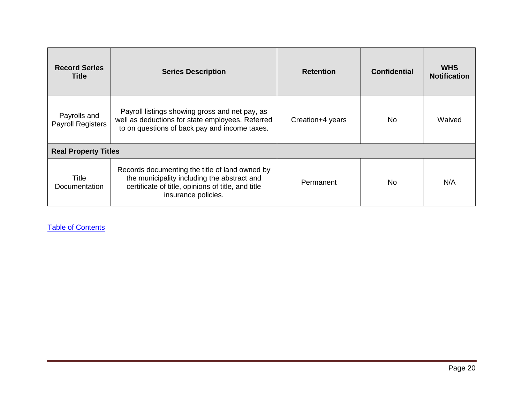| <b>Record Series</b><br><b>Title</b>     | <b>Series Description</b>                                                                                                                                                  | <b>Retention</b> | <b>Confidential</b> | <b>WHS</b><br><b>Notification</b> |
|------------------------------------------|----------------------------------------------------------------------------------------------------------------------------------------------------------------------------|------------------|---------------------|-----------------------------------|
| Payrolls and<br><b>Payroll Registers</b> | Payroll listings showing gross and net pay, as<br>well as deductions for state employees. Referred<br>to on questions of back pay and income taxes.                        | Creation+4 years | No.                 | Waived                            |
| <b>Real Property Titles</b>              |                                                                                                                                                                            |                  |                     |                                   |
| Title<br>Documentation                   | Records documenting the title of land owned by<br>the municipality including the abstract and<br>certificate of title, opinions of title, and title<br>insurance policies. | Permanent        | No                  | N/A                               |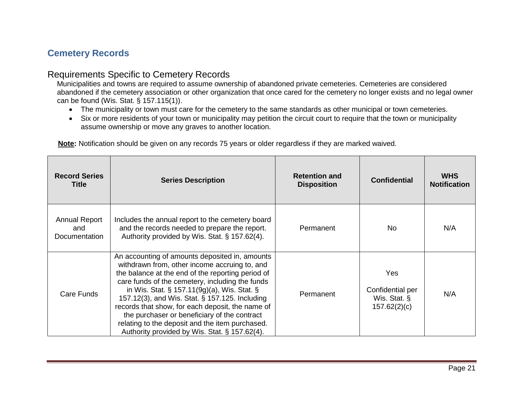# <span id="page-21-0"></span>**Cemetery Records**

# Requirements Specific to Cemetery Records

Municipalities and towns are required to assume ownership of abandoned private cemeteries. Cemeteries are considered abandoned if the cemetery association or other organization that once cared for the cemetery no longer exists and no legal owner can be found [\(Wis. Stat. § 157.115\(1\)\)](https://www.wisconsinhistory.org/pdfs/hp/HPR-Wisconsin-Statutes-Concern-Abandond-Cemeteries-157.115.pdf).

- The municipality or town must care for the cemetery to the same standards as other municipal or town cemeteries.
- Six or more residents of your town or municipality may petition the circuit court to require that the town or municipality assume ownership or move any graves to another location.

| <b>Record Series</b><br><b>Title</b>         | <b>Series Description</b>                                                                                                                                                                                                                                                                                                                                                                                                                                                                                              | <b>Retention and</b><br><b>Disposition</b> | <b>Confidential</b>                                     | <b>WHS</b><br><b>Notification</b> |
|----------------------------------------------|------------------------------------------------------------------------------------------------------------------------------------------------------------------------------------------------------------------------------------------------------------------------------------------------------------------------------------------------------------------------------------------------------------------------------------------------------------------------------------------------------------------------|--------------------------------------------|---------------------------------------------------------|-----------------------------------|
| <b>Annual Report</b><br>and<br>Documentation | Includes the annual report to the cemetery board<br>and the records needed to prepare the report.<br>Authority provided by Wis. Stat. § 157.62(4).                                                                                                                                                                                                                                                                                                                                                                     | Permanent                                  | No.                                                     | N/A                               |
| Care Funds                                   | An accounting of amounts deposited in, amounts<br>withdrawn from, other income accruing to, and<br>the balance at the end of the reporting period of<br>care funds of the cemetery, including the funds<br>in Wis. Stat. $\S$ 157.11(9g)(a), Wis. Stat. $\S$<br>157.12(3), and Wis. Stat. § 157.125. Including<br>records that show, for each deposit, the name of<br>the purchaser or beneficiary of the contract<br>relating to the deposit and the item purchased.<br>Authority provided by Wis. Stat. § 157.62(4). | Permanent                                  | Yes<br>Confidential per<br>Wis. Stat. §<br>157.62(2)(c) | N/A                               |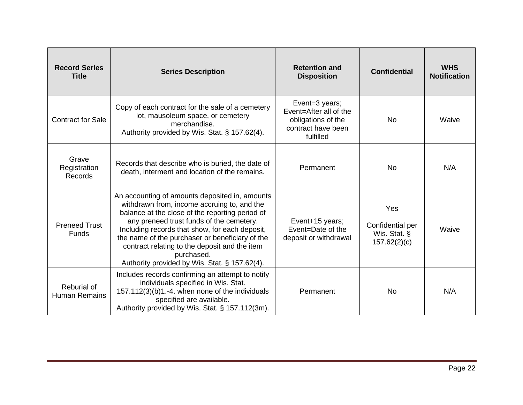| <b>Record Series</b><br><b>Title</b>    | <b>Series Description</b>                                                                                                                                                                                                                                                                                                                                                                                         | <b>Retention and</b><br><b>Disposition</b>                                                        | <b>Confidential</b>                                     | <b>WHS</b><br><b>Notification</b> |
|-----------------------------------------|-------------------------------------------------------------------------------------------------------------------------------------------------------------------------------------------------------------------------------------------------------------------------------------------------------------------------------------------------------------------------------------------------------------------|---------------------------------------------------------------------------------------------------|---------------------------------------------------------|-----------------------------------|
| <b>Contract for Sale</b>                | Copy of each contract for the sale of a cemetery<br>lot, mausoleum space, or cemetery<br>merchandise.<br>Authority provided by Wis. Stat. § 157.62(4).                                                                                                                                                                                                                                                            | Event=3 years;<br>Event=After all of the<br>obligations of the<br>contract have been<br>fulfilled | <b>No</b>                                               | Waive                             |
| Grave<br>Registration<br><b>Records</b> | Records that describe who is buried, the date of<br>death, interment and location of the remains.                                                                                                                                                                                                                                                                                                                 | Permanent                                                                                         | <b>No</b>                                               | N/A                               |
| <b>Preneed Trust</b><br><b>Funds</b>    | An accounting of amounts deposited in, amounts<br>withdrawn from, income accruing to, and the<br>balance at the close of the reporting period of<br>any preneed trust funds of the cemetery.<br>Including records that show, for each deposit,<br>the name of the purchaser or beneficiary of the<br>contract relating to the deposit and the item<br>purchased.<br>Authority provided by Wis. Stat. § 157.62(4). | Event+15 years;<br>Event=Date of the<br>deposit or withdrawal                                     | Yes<br>Confidential per<br>Wis. Stat. §<br>157.62(2)(c) | Waive                             |
| Reburial of<br><b>Human Remains</b>     | Includes records confirming an attempt to notify<br>individuals specified in Wis. Stat.<br>157.112(3)(b)1.-4. when none of the individuals<br>specified are available.<br>Authority provided by Wis. Stat. § 157.112(3m).                                                                                                                                                                                         | Permanent                                                                                         | No                                                      | N/A                               |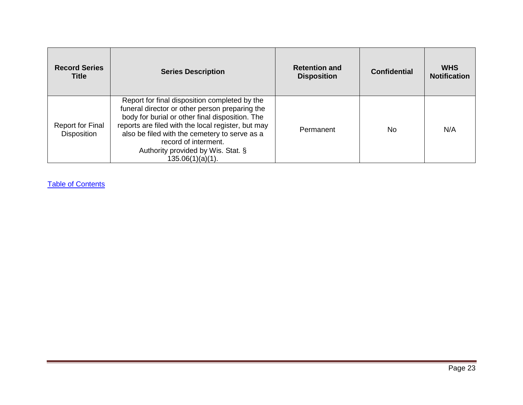| <b>Record Series</b><br><b>Title</b>          | <b>Series Description</b>                                                                                                                                                                                                                                                                                                                      | <b>Retention and</b><br><b>Disposition</b> | <b>Confidential</b> | <b>WHS</b><br><b>Notification</b> |
|-----------------------------------------------|------------------------------------------------------------------------------------------------------------------------------------------------------------------------------------------------------------------------------------------------------------------------------------------------------------------------------------------------|--------------------------------------------|---------------------|-----------------------------------|
| <b>Report for Final</b><br><b>Disposition</b> | Report for final disposition completed by the<br>funeral director or other person preparing the<br>body for burial or other final disposition. The<br>reports are filed with the local register, but may<br>also be filed with the cemetery to serve as a<br>record of interment.<br>Authority provided by Wis. Stat. §<br>$135.06(1)(a)(1)$ . | Permanent                                  | No                  | N/A                               |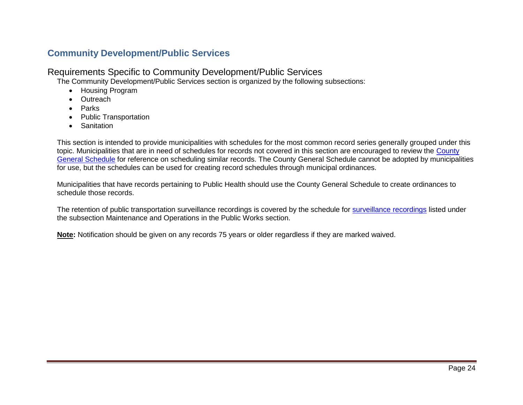# <span id="page-24-0"></span>**Community Development/Public Services**

# Requirements Specific to Community Development/Public Services

The Community Development/Public Services section is organized by the following subsections:

- Housing Program
- Outreach
- Parks
- Public Transportation
- Sanitation

This section is intended to provide municipalities with schedules for the most common record series generally grouped under this topic. Municipalities that are in need of schedules for records not covered in this section are encouraged to review the [County](http://publicrecordsboard.wi.gov/docview.asp?docid=19641&locid=165)  [General Schedule](http://publicrecordsboard.wi.gov/docview.asp?docid=19641&locid=165) for reference on scheduling similar records. The County General Schedule cannot be adopted by municipalities for use, but the schedules can be used for creating record schedules through municipal ordinances.

Municipalities that have records pertaining to Public Health should use the County General Schedule to create ordinances to schedule those records.

The retention of public transportation [surveillance recordings](#page-44-0) is covered by the schedule for surveillance recordings listed under the subsection Maintenance and Operations in the Public Works section.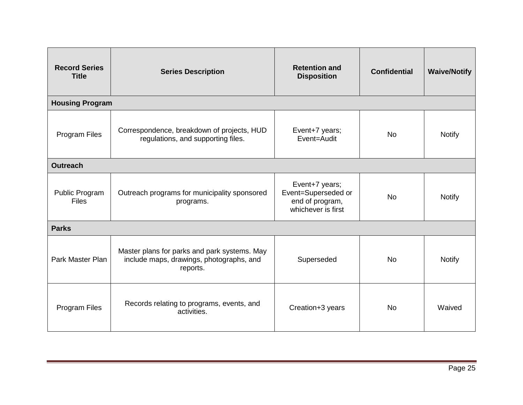| <b>Record Series</b><br><b>Title</b> | <b>Series Description</b>                                                                            | <b>Retention and</b><br><b>Disposition</b>                                     | <b>Confidential</b> | <b>Waive/Notify</b> |  |
|--------------------------------------|------------------------------------------------------------------------------------------------------|--------------------------------------------------------------------------------|---------------------|---------------------|--|
|                                      | <b>Housing Program</b>                                                                               |                                                                                |                     |                     |  |
| Program Files                        | Correspondence, breakdown of projects, HUD<br>regulations, and supporting files.                     | Event+7 years;<br>Event=Audit                                                  | <b>No</b>           | <b>Notify</b>       |  |
| <b>Outreach</b>                      |                                                                                                      |                                                                                |                     |                     |  |
| Public Program<br><b>Files</b>       | Outreach programs for municipality sponsored<br>programs.                                            | Event+7 years;<br>Event=Superseded or<br>end of program,<br>whichever is first | <b>No</b>           | <b>Notify</b>       |  |
| <b>Parks</b>                         |                                                                                                      |                                                                                |                     |                     |  |
| Park Master Plan                     | Master plans for parks and park systems. May<br>include maps, drawings, photographs, and<br>reports. | Superseded                                                                     | <b>No</b>           | <b>Notify</b>       |  |
| Program Files                        | Records relating to programs, events, and<br>activities.                                             | Creation+3 years                                                               | <b>No</b>           | Waived              |  |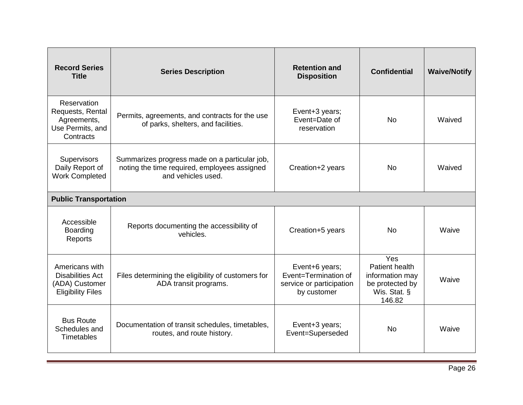| <b>Record Series</b><br><b>Title</b>                                                    | <b>Series Description</b>                                                                                           | <b>Retention and</b><br><b>Disposition</b>                                        | <b>Confidential</b>                                                                   | <b>Waive/Notify</b> |
|-----------------------------------------------------------------------------------------|---------------------------------------------------------------------------------------------------------------------|-----------------------------------------------------------------------------------|---------------------------------------------------------------------------------------|---------------------|
| Reservation<br>Requests, Rental<br>Agreements,<br>Use Permits, and<br>Contracts         | Permits, agreements, and contracts for the use<br>of parks, shelters, and facilities.                               | Event+3 years;<br>Event=Date of<br>reservation                                    | <b>No</b>                                                                             | Waived              |
| Supervisors<br>Daily Report of<br><b>Work Completed</b>                                 | Summarizes progress made on a particular job,<br>noting the time required, employees assigned<br>and vehicles used. | Creation+2 years                                                                  | <b>No</b>                                                                             | Waived              |
| <b>Public Transportation</b>                                                            |                                                                                                                     |                                                                                   |                                                                                       |                     |
| Accessible<br>Boarding<br>Reports                                                       | Reports documenting the accessibility of<br>vehicles.                                                               | Creation+5 years                                                                  | <b>No</b>                                                                             | Waive               |
| Americans with<br><b>Disabilities Act</b><br>(ADA) Customer<br><b>Eligibility Files</b> | Files determining the eligibility of customers for<br>ADA transit programs.                                         | Event+6 years;<br>Event=Termination of<br>service or participation<br>by customer | Yes<br>Patient health<br>information may<br>be protected by<br>Wis. Stat. §<br>146.82 | Waive               |
| <b>Bus Route</b><br>Schedules and<br><b>Timetables</b>                                  | Documentation of transit schedules, timetables,<br>routes, and route history.                                       | Event+3 years;<br>Event=Superseded                                                | <b>No</b>                                                                             | Waive               |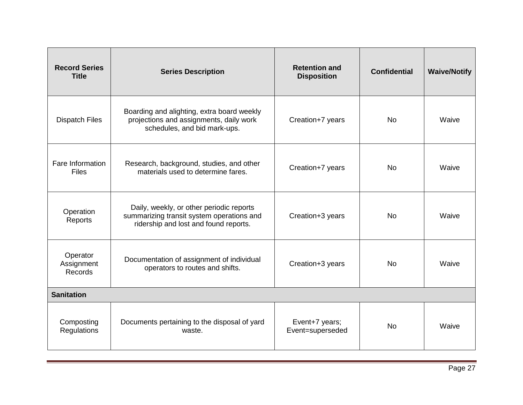| <b>Record Series</b><br><b>Title</b> | <b>Series Description</b>                                                                                                      | <b>Retention and</b><br><b>Disposition</b> | <b>Confidential</b> | <b>Waive/Notify</b> |
|--------------------------------------|--------------------------------------------------------------------------------------------------------------------------------|--------------------------------------------|---------------------|---------------------|
| <b>Dispatch Files</b>                | Boarding and alighting, extra board weekly<br>projections and assignments, daily work<br>schedules, and bid mark-ups.          | Creation+7 years                           | <b>No</b>           | Waive               |
| Fare Information<br><b>Files</b>     | Research, background, studies, and other<br>materials used to determine fares.                                                 | Creation+7 years                           | <b>No</b>           | Waive               |
| Operation<br>Reports                 | Daily, weekly, or other periodic reports<br>summarizing transit system operations and<br>ridership and lost and found reports. | Creation+3 years                           | <b>No</b>           | Waive               |
| Operator<br>Assignment<br>Records    | Documentation of assignment of individual<br>operators to routes and shifts.                                                   | Creation+3 years                           | <b>No</b>           | Waive               |
| <b>Sanitation</b>                    |                                                                                                                                |                                            |                     |                     |
| Composting<br>Regulations            | Documents pertaining to the disposal of yard<br>waste.                                                                         | Event+7 years;<br>Event=superseded         | <b>No</b>           | Waive               |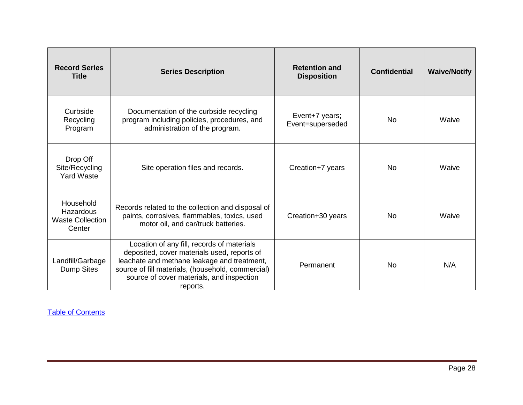| <b>Record Series</b><br><b>Title</b>                        | <b>Series Description</b>                                                                                                                                                                                                                              | <b>Retention and</b><br><b>Disposition</b> | <b>Confidential</b> | <b>Waive/Notify</b> |
|-------------------------------------------------------------|--------------------------------------------------------------------------------------------------------------------------------------------------------------------------------------------------------------------------------------------------------|--------------------------------------------|---------------------|---------------------|
| Curbside<br>Recycling<br>Program                            | Documentation of the curbside recycling<br>program including policies, procedures, and<br>administration of the program.                                                                                                                               | Event+7 years;<br>Event=superseded         | No.                 | Waive               |
| Drop Off<br>Site/Recycling<br><b>Yard Waste</b>             | Site operation files and records.                                                                                                                                                                                                                      | Creation+7 years                           | No.                 | Waive               |
| Household<br>Hazardous<br><b>Waste Collection</b><br>Center | Records related to the collection and disposal of<br>paints, corrosives, flammables, toxics, used<br>motor oil, and car/truck batteries.                                                                                                               | Creation+30 years                          | No.                 | Waive               |
| Landfill/Garbage<br><b>Dump Sites</b>                       | Location of any fill, records of materials<br>deposited, cover materials used, reports of<br>leachate and methane leakage and treatment,<br>source of fill materials, (household, commercial)<br>source of cover materials, and inspection<br>reports. | Permanent                                  | No.                 | N/A                 |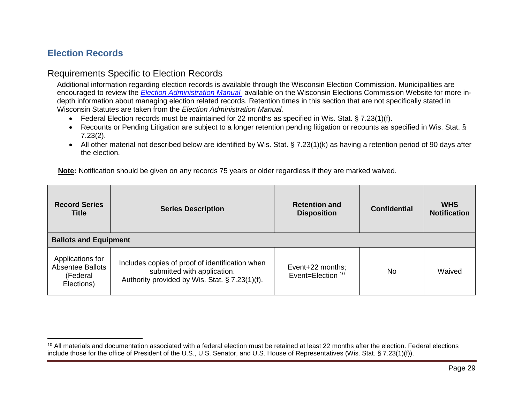# <span id="page-29-0"></span>**Election Records**

 $\overline{a}$ 

# Requirements Specific to Election Records

Additional information regarding election records is available through the Wisconsin Election Commission. Municipalities are encouraged to review the *[Election Administration Manual](http://elections.wi.gov/clerks/education-training/election-administration-manual)* available on the Wisconsin Elections Commission Website for more indepth information about managing election related records. Retention times in this section that are not specifically stated in Wisconsin Statutes are taken from the *Election Administration Manual.*

- Federal Election records must be maintained for 22 months as specified in Wis. Stat. § 7.23(1)(f).
- Recounts or Pending Litigation are subject to a longer retention pending litigation or recounts as specified in Wis. Stat. § 7.23(2).
- All other material not described below are identified by Wis. Stat. § 7.23(1)(k) as having a retention period of 90 days after the election.

| <b>Record Series</b><br><b>Title</b>                                  | <b>Series Description</b>                                                                                                        | <b>Retention and</b><br><b>Disposition</b> | <b>Confidential</b> | <b>WHS</b><br><b>Notification</b> |  |
|-----------------------------------------------------------------------|----------------------------------------------------------------------------------------------------------------------------------|--------------------------------------------|---------------------|-----------------------------------|--|
| <b>Ballots and Equipment</b>                                          |                                                                                                                                  |                                            |                     |                                   |  |
| Applications for<br><b>Absentee Ballots</b><br>(Federal<br>Elections) | Includes copies of proof of identification when<br>submitted with application.<br>Authority provided by Wis. Stat. § 7.23(1)(f). | Event+22 months;<br>Event=Election 10      | No.                 | Waived                            |  |

<sup>&</sup>lt;sup>10</sup> All materials and documentation associated with a federal election must be retained at least 22 months after the election. Federal elections include those for the office of President of the U.S., U.S. Senator, and U.S. House of Representatives (Wis. Stat. § 7.23(1)(f)).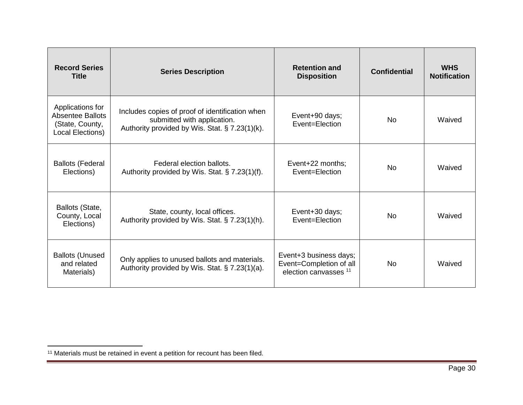| <b>Record Series</b><br><b>Title</b>                                               | <b>Series Description</b>                                                                                                        | <b>Retention and</b><br><b>Disposition</b>                                            | <b>Confidential</b> | <b>WHS</b><br><b>Notification</b> |
|------------------------------------------------------------------------------------|----------------------------------------------------------------------------------------------------------------------------------|---------------------------------------------------------------------------------------|---------------------|-----------------------------------|
| Applications for<br><b>Absentee Ballots</b><br>(State, County,<br>Local Elections) | Includes copies of proof of identification when<br>submitted with application.<br>Authority provided by Wis. Stat. § 7.23(1)(k). | Event+90 days;<br>Event=Election                                                      | No.                 | Waived                            |
| <b>Ballots (Federal</b><br>Elections)                                              | Federal election ballots.<br>Authority provided by Wis. Stat. § 7.23(1)(f).                                                      | Event+22 months:<br>Event=Election                                                    | No.                 | Waived                            |
| Ballots (State,<br>County, Local<br>Elections)                                     | State, county, local offices.<br>Authority provided by Wis. Stat. § 7.23(1)(h).                                                  | Event+30 days;<br>Event=Election                                                      | No.                 | Waived                            |
| <b>Ballots (Unused</b><br>and related<br>Materials)                                | Only applies to unused ballots and materials.<br>Authority provided by Wis. Stat. § 7.23(1)(a).                                  | Event+3 business days;<br>Event=Completion of all<br>election canvasses <sup>11</sup> | No.                 | Waived                            |

 $\overline{\phantom{a}}$ <sup>11</sup> Materials must be retained in event a petition for recount has been filed.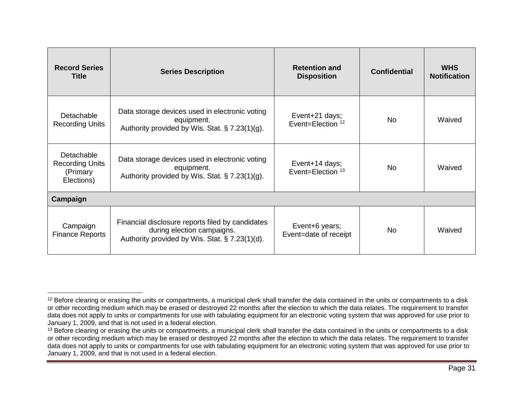| <b>Record Series</b><br><b>Title</b>                           | <b>Series Description</b>                                                                                                        | <b>Retention and</b><br><b>Disposition</b>     | <b>Confidential</b> | <b>WHS</b><br><b>Notification</b> |
|----------------------------------------------------------------|----------------------------------------------------------------------------------------------------------------------------------|------------------------------------------------|---------------------|-----------------------------------|
| Detachable<br><b>Recording Units</b>                           | Data storage devices used in electronic voting<br>equipment.<br>Authority provided by Wis. Stat. § 7.23(1)(g).                   | Event+21 days;<br>Event=Election <sup>12</sup> | No                  | Waived                            |
| Detachable<br><b>Recording Units</b><br>(Primary<br>Elections) | Data storage devices used in electronic voting<br>equipment.<br>Authority provided by Wis. Stat. § 7.23(1)(g).                   | Event+14 days;<br>Event=Election <sup>13</sup> | No.                 | Waived                            |
| Campaign                                                       |                                                                                                                                  |                                                |                     |                                   |
| Campaign<br><b>Finance Reports</b>                             | Financial disclosure reports filed by candidates<br>during election campaigns.<br>Authority provided by Wis. Stat. § 7.23(1)(d). | Event+6 years;<br>Event=date of receipt        | No.                 | Waived                            |

 $\overline{a}$ 

<sup>&</sup>lt;sup>12</sup> Before clearing or erasing the units or compartments, a municipal clerk shall transfer the data contained in the units or compartments to a disk or other recording medium which may be erased or destroyed 22 months after the election to which the data relates. The requirement to transfer data does not apply to units or compartments for use with tabulating equipment for an electronic voting system that was approved for use prior to January 1, 2009, and that is not used in a federal election.

<sup>&</sup>lt;sup>13</sup> Before clearing or erasing the units or compartments, a municipal clerk shall transfer the data contained in the units or compartments to a disk or other recording medium which may be erased or destroyed 22 months after the election to which the data relates. The requirement to transfer data does not apply to units or compartments for use with tabulating equipment for an electronic voting system that was approved for use prior to January 1, 2009, and that is not used in a federal election.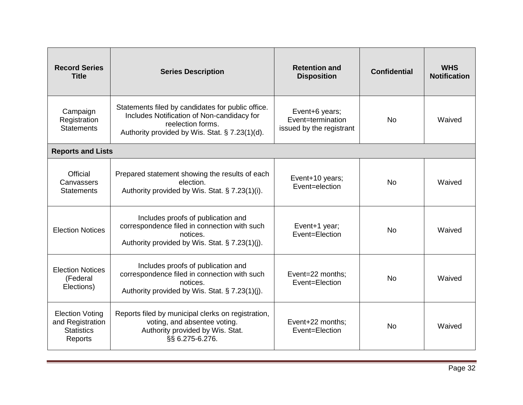| <b>Record Series</b><br><b>Title</b>                                       | <b>Series Description</b>                                                                                                                                              | <b>Retention and</b><br><b>Disposition</b>                      | <b>Confidential</b> | <b>WHS</b><br><b>Notification</b> |
|----------------------------------------------------------------------------|------------------------------------------------------------------------------------------------------------------------------------------------------------------------|-----------------------------------------------------------------|---------------------|-----------------------------------|
| Campaign<br>Registration<br><b>Statements</b>                              | Statements filed by candidates for public office.<br>Includes Notification of Non-candidacy for<br>reelection forms.<br>Authority provided by Wis. Stat. § 7.23(1)(d). | Event+6 years;<br>Event=termination<br>issued by the registrant | <b>No</b>           | Waived                            |
| <b>Reports and Lists</b>                                                   |                                                                                                                                                                        |                                                                 |                     |                                   |
| Official<br>Canvassers<br><b>Statements</b>                                | Prepared statement showing the results of each<br>election.<br>Authority provided by Wis. Stat. § 7.23(1)(i).                                                          | Event+10 years;<br>Event=election                               | No.                 | Waived                            |
| <b>Election Notices</b>                                                    | Includes proofs of publication and<br>correspondence filed in connection with such<br>notices.<br>Authority provided by Wis. Stat. § 7.23(1)(j).                       | Event+1 year;<br>Event=Election                                 | No.                 | Waived                            |
| <b>Election Notices</b><br>(Federal<br>Elections)                          | Includes proofs of publication and<br>correspondence filed in connection with such<br>notices.<br>Authority provided by Wis. Stat. § 7.23(1)(j).                       | Event=22 months;<br>Event=Election                              | <b>No</b>           | Waived                            |
| <b>Election Voting</b><br>and Registration<br><b>Statistics</b><br>Reports | Reports filed by municipal clerks on registration,<br>voting, and absentee voting.<br>Authority provided by Wis. Stat.<br>§§ 6.275-6.276.                              | Event+22 months;<br>Event=Election                              | No.                 | Waived                            |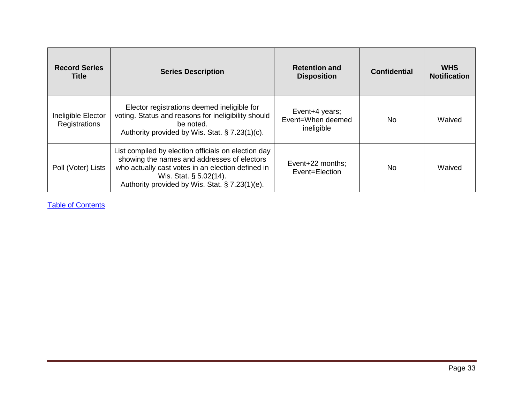| <b>Record Series</b><br>Title       | <b>Series Description</b>                                                                                                                                                                                                           | <b>Retention and</b><br><b>Disposition</b>        | <b>Confidential</b> | <b>WHS</b><br><b>Notification</b> |
|-------------------------------------|-------------------------------------------------------------------------------------------------------------------------------------------------------------------------------------------------------------------------------------|---------------------------------------------------|---------------------|-----------------------------------|
| Ineligible Elector<br>Registrations | Elector registrations deemed ineligible for<br>voting. Status and reasons for ineligibility should<br>be noted.<br>Authority provided by Wis. Stat. § 7.23(1)(c).                                                                   | Event+4 years;<br>Event=When deemed<br>ineligible | No.                 | Waived                            |
| Poll (Voter) Lists                  | List compiled by election officials on election day<br>showing the names and addresses of electors<br>who actually cast votes in an election defined in<br>Wis. Stat. § 5.02(14).<br>Authority provided by Wis. Stat. § 7.23(1)(e). | Event+22 months:<br>Event=Election                | No.                 | Waived                            |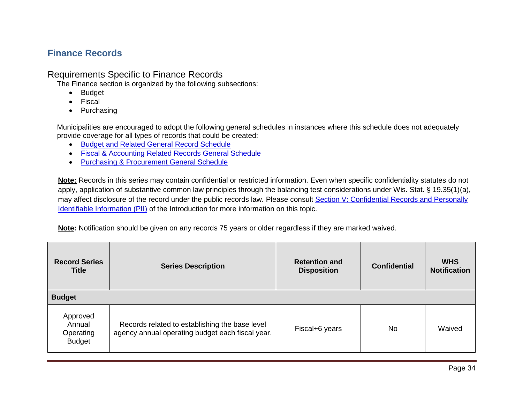# <span id="page-34-0"></span>**Finance Records**

## Requirements Specific to Finance Records

The Finance section is organized by the following subsections:

- Budget
- Fiscal
- Purchasing

Municipalities are encouraged to adopt the following general schedules in instances where this schedule does not adequately provide coverage for all types of records that could be created:

- [Budget and Related General Record Schedule](http://publicrecordsboard.wi.gov/docview.asp?docid=15864&locid=165)
- [Fiscal & Accounting Related Records General Schedule](http://publicrecordsboard.wi.gov/docview.asp?docid=15866&locid=165)
- [Purchasing & Procurement General Schedule](http://publicrecordsboard.wi.gov/docview.asp?docid=15888&locid=165)

**Note:** Records in this series may contain confidential or restricted information. Even when specific confidentiality statutes do not apply, application of substantive common law principles through the balancing test considerations under Wis. Stat. § 19.35(1)(a), may affect disclosure of the record under the public records law. Please consult Section V: Confidential Records and Personally [Identifiable Information \(PII\)](#page-6-1) of the Introduction for more information on this topic.

| <b>Record Series</b><br><b>Title</b>             | <b>Series Description</b>                                                                          | <b>Retention and</b><br><b>Disposition</b> | <b>Confidential</b> | <b>WHS</b><br><b>Notification</b> |
|--------------------------------------------------|----------------------------------------------------------------------------------------------------|--------------------------------------------|---------------------|-----------------------------------|
| <b>Budget</b>                                    |                                                                                                    |                                            |                     |                                   |
| Approved<br>Annual<br>Operating<br><b>Budget</b> | Records related to establishing the base level<br>agency annual operating budget each fiscal year. | Fiscal+6 years                             | <b>No</b>           | Waived                            |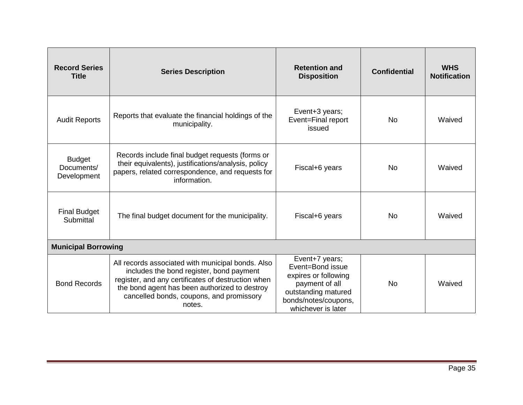| <b>Record Series</b><br><b>Title</b>       | <b>Series Description</b>                                                                                                                                                                                                                                  | <b>Retention and</b><br><b>Disposition</b>                                                                                                        | <b>Confidential</b> | <b>WHS</b><br><b>Notification</b> |
|--------------------------------------------|------------------------------------------------------------------------------------------------------------------------------------------------------------------------------------------------------------------------------------------------------------|---------------------------------------------------------------------------------------------------------------------------------------------------|---------------------|-----------------------------------|
| <b>Audit Reports</b>                       | Reports that evaluate the financial holdings of the<br>municipality.                                                                                                                                                                                       | Event+3 years;<br>Event=Final report<br>issued                                                                                                    | <b>No</b>           | Waived                            |
| <b>Budget</b><br>Documents/<br>Development | Records include final budget requests (forms or<br>their equivalents), justifications/analysis, policy<br>papers, related correspondence, and requests for<br>information.                                                                                 | Fiscal+6 years                                                                                                                                    | <b>No</b>           | Waived                            |
| <b>Final Budget</b><br>Submittal           | The final budget document for the municipality.                                                                                                                                                                                                            | Fiscal+6 years                                                                                                                                    | No.                 | Waived                            |
| <b>Municipal Borrowing</b>                 |                                                                                                                                                                                                                                                            |                                                                                                                                                   |                     |                                   |
| <b>Bond Records</b>                        | All records associated with municipal bonds. Also<br>includes the bond register, bond payment<br>register, and any certificates of destruction when<br>the bond agent has been authorized to destroy<br>cancelled bonds, coupons, and promissory<br>notes. | Event+7 years;<br>Event=Bond issue<br>expires or following<br>payment of all<br>outstanding matured<br>bonds/notes/coupons,<br>whichever is later | <b>No</b>           | Waived                            |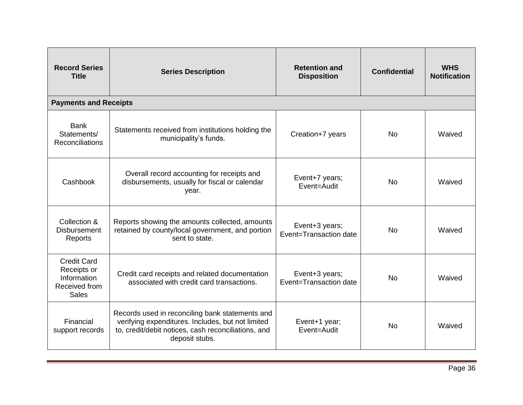| <b>Record Series</b><br><b>Title</b>                                              | <b>Series Description</b>                                                                                                                                                     | <b>Retention and</b><br><b>Disposition</b> | <b>Confidential</b> | <b>WHS</b><br><b>Notification</b> |
|-----------------------------------------------------------------------------------|-------------------------------------------------------------------------------------------------------------------------------------------------------------------------------|--------------------------------------------|---------------------|-----------------------------------|
| <b>Payments and Receipts</b>                                                      |                                                                                                                                                                               |                                            |                     |                                   |
| <b>Bank</b><br>Statements/<br><b>Reconciliations</b>                              | Statements received from institutions holding the<br>municipality's funds.                                                                                                    | Creation+7 years                           | <b>No</b>           | Waived                            |
| Cashbook                                                                          | Overall record accounting for receipts and<br>disbursements, usually for fiscal or calendar<br>year.                                                                          | Event+7 years;<br>Event=Audit              | <b>No</b>           | Waived                            |
| Collection &<br><b>Disbursement</b><br>Reports                                    | Reports showing the amounts collected, amounts<br>retained by county/local government, and portion<br>sent to state.                                                          | Event+3 years;<br>Event=Transaction date   | <b>No</b>           | Waived                            |
| <b>Credit Card</b><br>Receipts or<br>Information<br>Received from<br><b>Sales</b> | Credit card receipts and related documentation<br>associated with credit card transactions.                                                                                   | Event+3 years;<br>Event=Transaction date   | <b>No</b>           | Waived                            |
| Financial<br>support records                                                      | Records used in reconciling bank statements and<br>verifying expenditures. Includes, but not limited<br>to, credit/debit notices, cash reconciliations, and<br>deposit stubs. | Event+1 year;<br>Event=Audit               | <b>No</b>           | Waived                            |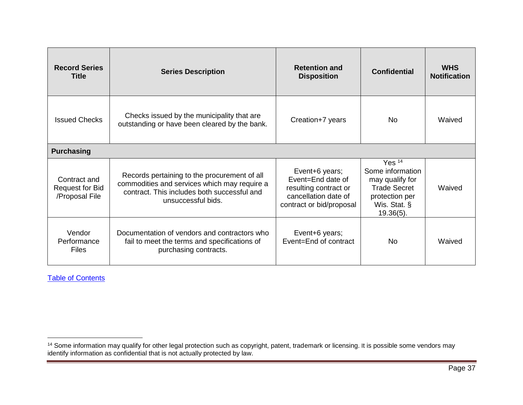| <b>Record Series</b><br><b>Title</b>                     | <b>Series Description</b>                                                                                                                                         | <b>Retention and</b><br><b>Disposition</b>                                                                       | <b>Confidential</b>                                                                                                      | <b>WHS</b><br><b>Notification</b> |
|----------------------------------------------------------|-------------------------------------------------------------------------------------------------------------------------------------------------------------------|------------------------------------------------------------------------------------------------------------------|--------------------------------------------------------------------------------------------------------------------------|-----------------------------------|
| <b>Issued Checks</b>                                     | Checks issued by the municipality that are<br>outstanding or have been cleared by the bank.                                                                       | Creation+7 years                                                                                                 | No.                                                                                                                      | Waived                            |
| <b>Purchasing</b>                                        |                                                                                                                                                                   |                                                                                                                  |                                                                                                                          |                                   |
| Contract and<br><b>Request for Bid</b><br>/Proposal File | Records pertaining to the procurement of all<br>commodities and services which may require a<br>contract. This includes both successful and<br>unsuccessful bids. | Event+6 years;<br>Event=End date of<br>resulting contract or<br>cancellation date of<br>contract or bid/proposal | Yes $14$<br>Some information<br>may qualify for<br><b>Trade Secret</b><br>protection per<br>Wis. Stat. §<br>$19.36(5)$ . | Waived                            |
| Vendor<br>Performance<br><b>Files</b>                    | Documentation of vendors and contractors who<br>fail to meet the terms and specifications of<br>purchasing contracts.                                             | Event+6 years;<br>Event=End of contract                                                                          | No.                                                                                                                      | Waived                            |

l

<sup>&</sup>lt;sup>14</sup> Some information may qualify for other legal protection such as copyright, patent, trademark or licensing. It is possible some vendors may identify information as confidential that is not actually protected by law.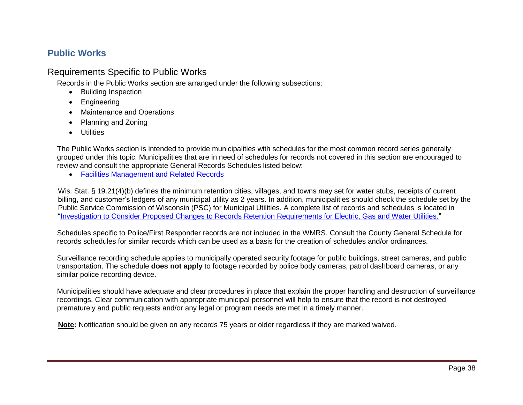# <span id="page-38-0"></span>**Public Works**

# Requirements Specific to Public Works

Records in the Public Works section are arranged under the following subsections:

- Building Inspection
- Engineering
- Maintenance and Operations
- Planning and Zoning
- Utilities

The Public Works section is intended to provide municipalities with schedules for the most common record series generally grouped under this topic. Municipalities that are in need of schedules for records not covered in this section are encouraged to review and consult the appropriate General Records Schedules listed below:

• [Facilities Management and Related Records](http://publicrecordsboard.wi.gov/docview.asp?docid=17293&locid=165)

Wis. Stat. § 19.21(4)(b) defines the minimum retention cities, villages, and towns may set for water stubs, receipts of current billing, and customer's ledgers of any municipal utility as 2 years. In addition, municipalities should check the schedule set by the Public Service Commission of Wisconsin (PSC) for Municipal Utilities. A complete list of records and schedules is located in ["Investigation to Consider Proposed Changes to Records Retention Requirements for Electric, Gas and Water Utilities."](https://psc.wi.gov/Documents/recordsRetentionGuidelines.pdf)

Schedules specific to Police/First Responder records are not included in the WMRS. Consult the County General Schedule for records schedules for similar records which can be used as a basis for the creation of schedules and/or ordinances.

Surveillance recording schedule applies to municipally operated security footage for public buildings, street cameras, and public transportation. The schedule **does not apply** to footage recorded by police body cameras, patrol dashboard cameras, or any similar police recording device.

Municipalities should have adequate and clear procedures in place that explain the proper handling and destruction of surveillance recordings. Clear communication with appropriate municipal personnel will help to ensure that the record is not destroyed prematurely and public requests and/or any legal or program needs are met in a timely manner.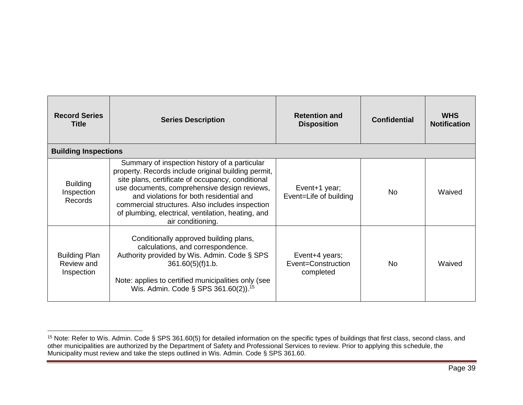| <b>Record Series</b><br><b>Title</b>             | <b>Series Description</b>                                                                                                                                                                                                                                                                                                                                                          | <b>Retention and</b><br><b>Disposition</b>        | <b>Confidential</b> | <b>WHS</b><br><b>Notification</b> |
|--------------------------------------------------|------------------------------------------------------------------------------------------------------------------------------------------------------------------------------------------------------------------------------------------------------------------------------------------------------------------------------------------------------------------------------------|---------------------------------------------------|---------------------|-----------------------------------|
| <b>Building Inspections</b>                      |                                                                                                                                                                                                                                                                                                                                                                                    |                                                   |                     |                                   |
| <b>Building</b><br>Inspection<br><b>Records</b>  | Summary of inspection history of a particular<br>property. Records include original building permit,<br>site plans, certificate of occupancy, conditional<br>use documents, comprehensive design reviews,<br>and violations for both residential and<br>commercial structures. Also includes inspection<br>of plumbing, electrical, ventilation, heating, and<br>air conditioning. | Event+1 year;<br>Event=Life of building           | No.                 | Waived                            |
| <b>Building Plan</b><br>Review and<br>Inspection | Conditionally approved building plans,<br>calculations, and correspondence.<br>Authority provided by Wis. Admin. Code § SPS<br>361.60(5)(f)1.b.<br>Note: applies to certified municipalities only (see<br>Wis. Admin. Code § SPS 361.60(2)). <sup>15</sup>                                                                                                                         | Event+4 years;<br>Event=Construction<br>completed | No.                 | Waived                            |

 $\overline{\phantom{a}}$ 

<sup>&</sup>lt;sup>15</sup> Note: Refer to Wis. Admin. Code § SPS 361.60(5) for detailed information on the specific types of buildings that first class, second class, and other municipalities are authorized by the Department of Safety and Professional Services to review. Prior to applying this schedule, the Municipality must review and take the steps outlined in Wis. Admin. Code § SPS 361.60.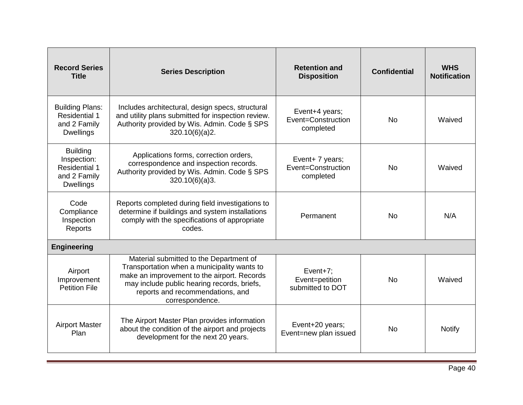| <b>Record Series</b><br><b>Title</b>                                                       | <b>Series Description</b>                                                                                                                                                                                                                   | <b>Retention and</b><br><b>Disposition</b>         | <b>Confidential</b> | <b>WHS</b><br><b>Notification</b> |
|--------------------------------------------------------------------------------------------|---------------------------------------------------------------------------------------------------------------------------------------------------------------------------------------------------------------------------------------------|----------------------------------------------------|---------------------|-----------------------------------|
| <b>Building Plans:</b><br><b>Residential 1</b><br>and 2 Family<br><b>Dwellings</b>         | Includes architectural, design specs, structural<br>and utility plans submitted for inspection review.<br>Authority provided by Wis. Admin. Code § SPS<br>320.10(6)(a)2.                                                                    | Event+4 years;<br>Event=Construction<br>completed  | <b>No</b>           | Waived                            |
| <b>Building</b><br>Inspection:<br><b>Residential 1</b><br>and 2 Family<br><b>Dwellings</b> | Applications forms, correction orders,<br>correspondence and inspection records.<br>Authority provided by Wis. Admin. Code § SPS<br>320.10(6)(a)3.                                                                                          | Event+ 7 years;<br>Event=Construction<br>completed | <b>No</b>           | Waived                            |
| Code<br>Compliance<br>Inspection<br>Reports                                                | Reports completed during field investigations to<br>determine if buildings and system installations<br>comply with the specifications of appropriate<br>codes.                                                                              | Permanent                                          | <b>No</b>           | N/A                               |
| <b>Engineering</b>                                                                         |                                                                                                                                                                                                                                             |                                                    |                     |                                   |
| Airport<br>Improvement<br><b>Petition File</b>                                             | Material submitted to the Department of<br>Transportation when a municipality wants to<br>make an improvement to the airport. Records<br>may include public hearing records, briefs,<br>reports and recommendations, and<br>correspondence. | Event $+7$ ;<br>Event=petition<br>submitted to DOT | <b>No</b>           | Waived                            |
| <b>Airport Master</b><br>Plan                                                              | The Airport Master Plan provides information<br>about the condition of the airport and projects<br>development for the next 20 years.                                                                                                       | Event+20 years;<br>Event=new plan issued           | <b>No</b>           | <b>Notify</b>                     |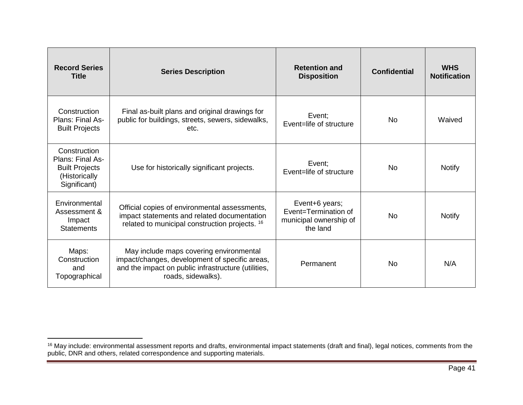| <b>Record Series</b><br><b>Title</b>                                                       | <b>Series Description</b>                                                                                                                                              | <b>Retention and</b><br><b>Disposition</b>                                   | <b>Confidential</b> | <b>WHS</b><br><b>Notification</b> |
|--------------------------------------------------------------------------------------------|------------------------------------------------------------------------------------------------------------------------------------------------------------------------|------------------------------------------------------------------------------|---------------------|-----------------------------------|
| Construction<br>Plans: Final As-<br><b>Built Projects</b>                                  | Final as-built plans and original drawings for<br>public for buildings, streets, sewers, sidewalks,<br>etc.                                                            | Event;<br>Event=life of structure                                            | <b>No</b>           | Waived                            |
| Construction<br>Plans: Final As-<br><b>Built Projects</b><br>(Historically<br>Significant) | Use for historically significant projects.                                                                                                                             | Event:<br>Event=life of structure                                            | N <sub>0</sub>      | <b>Notify</b>                     |
| Environmental<br>Assessment &<br>Impact<br><b>Statements</b>                               | Official copies of environmental assessments,<br>impact statements and related documentation<br>related to municipal construction projects. <sup>16</sup>              | Event+6 years;<br>Event=Termination of<br>municipal ownership of<br>the land | <b>No</b>           | <b>Notify</b>                     |
| Maps:<br>Construction<br>and<br>Topographical                                              | May include maps covering environmental<br>impact/changes, development of specific areas,<br>and the impact on public infrastructure (utilities,<br>roads, sidewalks). | Permanent                                                                    | N <sub>0</sub>      | N/A                               |

 $\overline{a}$ 

<sup>&</sup>lt;sup>16</sup> May include: environmental assessment reports and drafts, environmental impact statements (draft and final), legal notices, comments from the public, DNR and others, related correspondence and supporting materials.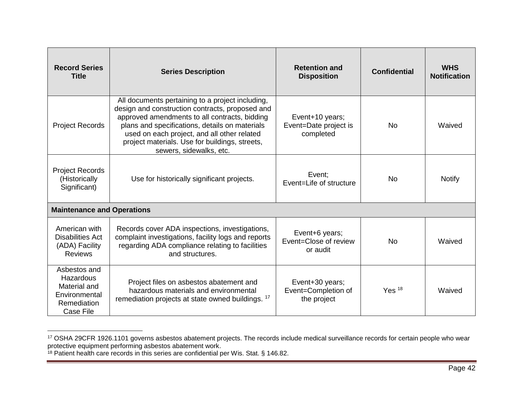| <b>Record Series</b><br><b>Title</b>                                                   | <b>Series Description</b>                                                                                                                                                                                                                                                                                                          | <b>Retention and</b><br><b>Disposition</b>            | <b>Confidential</b> | <b>WHS</b><br><b>Notification</b> |
|----------------------------------------------------------------------------------------|------------------------------------------------------------------------------------------------------------------------------------------------------------------------------------------------------------------------------------------------------------------------------------------------------------------------------------|-------------------------------------------------------|---------------------|-----------------------------------|
| <b>Project Records</b>                                                                 | All documents pertaining to a project including,<br>design and construction contracts, proposed and<br>approved amendments to all contracts, bidding<br>plans and specifications, details on materials<br>used on each project, and all other related<br>project materials. Use for buildings, streets,<br>sewers, sidewalks, etc. | Event+10 years;<br>Event=Date project is<br>completed | No                  | Waived                            |
| <b>Project Records</b><br>(Historically<br>Significant)                                | Use for historically significant projects.                                                                                                                                                                                                                                                                                         | Event:<br>Event=Life of structure                     | <b>No</b>           | <b>Notify</b>                     |
| <b>Maintenance and Operations</b>                                                      |                                                                                                                                                                                                                                                                                                                                    |                                                       |                     |                                   |
| American with<br><b>Disabilities Act</b><br>(ADA) Facility<br><b>Reviews</b>           | Records cover ADA inspections, investigations,<br>complaint investigations, facility logs and reports<br>regarding ADA compliance relating to facilities<br>and structures.                                                                                                                                                        | Event+6 years;<br>Event=Close of review<br>or audit   | <b>No</b>           | Waived                            |
| Asbestos and<br>Hazardous<br>Material and<br>Environmental<br>Remediation<br>Case File | Project files on asbestos abatement and<br>hazardous materials and environmental<br>remediation projects at state owned buildings. <sup>17</sup>                                                                                                                                                                                   | Event+30 years;<br>Event=Completion of<br>the project | Yes $18$            | Waived                            |

<sup>&</sup>lt;sup>17</sup> OSHA 29CFR 1926.1101 governs asbestos abatement projects. The records include medical surveillance records for certain people who wear protective equipment performing asbestos abatement work.

 $\overline{\phantom{a}}$ 

 $18$  Patient health care records in this series are confidential per Wis. Stat. § 146.82.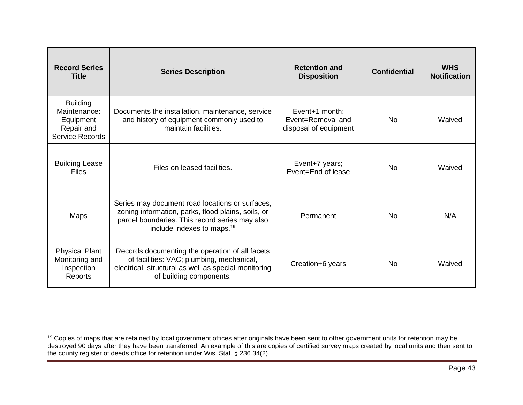| <b>Record Series</b><br><b>Title</b>                                                 | <b>Series Description</b>                                                                                                                                                                         | <b>Retention and</b><br><b>Disposition</b>                   | <b>Confidential</b> | <b>WHS</b><br><b>Notification</b> |
|--------------------------------------------------------------------------------------|---------------------------------------------------------------------------------------------------------------------------------------------------------------------------------------------------|--------------------------------------------------------------|---------------------|-----------------------------------|
| <b>Building</b><br>Maintenance:<br>Equipment<br>Repair and<br><b>Service Records</b> | Documents the installation, maintenance, service<br>and history of equipment commonly used to<br>maintain facilities.                                                                             | Event+1 month;<br>Event=Removal and<br>disposal of equipment | <b>No</b>           | Waived                            |
| <b>Building Lease</b><br><b>Files</b>                                                | Files on leased facilities.                                                                                                                                                                       | Event+7 years;<br>Event=End of lease                         | <b>No</b>           | Waived                            |
| <b>Maps</b>                                                                          | Series may document road locations or surfaces,<br>zoning information, parks, flood plains, soils, or<br>parcel boundaries. This record series may also<br>include indexes to maps. <sup>19</sup> | Permanent                                                    | <b>No</b>           | N/A                               |
| <b>Physical Plant</b><br>Monitoring and<br>Inspection<br>Reports                     | Records documenting the operation of all facets<br>of facilities: VAC; plumbing, mechanical,<br>electrical, structural as well as special monitoring<br>of building components.                   | Creation+6 years                                             | N <sub>0</sub>      | Waived                            |

 $\overline{\phantom{a}}$ 

<sup>&</sup>lt;sup>19</sup> Copies of maps that are retained by local government offices after originals have been sent to other government units for retention may be destroyed 90 days after they have been transferred. An example of this are copies of certified survey maps created by local units and then sent to the county register of deeds office for retention under Wis. Stat. § 236.34(2).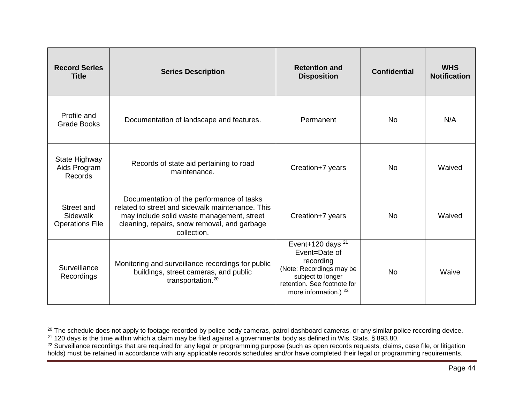| <b>Record Series</b><br><b>Title</b>             | <b>Series Description</b>                                                                                                                                                                                  | <b>Retention and</b><br><b>Disposition</b>                                                                                                                               | <b>Confidential</b> | <b>WHS</b><br><b>Notification</b> |
|--------------------------------------------------|------------------------------------------------------------------------------------------------------------------------------------------------------------------------------------------------------------|--------------------------------------------------------------------------------------------------------------------------------------------------------------------------|---------------------|-----------------------------------|
| Profile and<br><b>Grade Books</b>                | Documentation of landscape and features.                                                                                                                                                                   | Permanent                                                                                                                                                                | No.                 | N/A                               |
| <b>State Highway</b><br>Aids Program<br>Records  | Records of state aid pertaining to road<br>maintenance.                                                                                                                                                    | Creation+7 years                                                                                                                                                         | <b>No</b>           | Waived                            |
| Street and<br>Sidewalk<br><b>Operations File</b> | Documentation of the performance of tasks<br>related to street and sidewalk maintenance. This<br>may include solid waste management, street<br>cleaning, repairs, snow removal, and garbage<br>collection. | Creation+7 years                                                                                                                                                         | <b>No</b>           | Waived                            |
| Surveillance<br>Recordings                       | Monitoring and surveillance recordings for public<br>buildings, street cameras, and public<br>transportation. <sup>20</sup>                                                                                | Event+120 days <sup>21</sup><br>Event=Date of<br>recording<br>(Note: Recordings may be<br>subject to longer<br>retention. See footnote for<br>more information.) $^{22}$ | No.                 | Waive                             |

<span id="page-44-0"></span> $\overline{a}$ <sup>20</sup> The schedule <u>does not</u> apply to footage recorded by police body cameras, patrol dashboard cameras, or any similar police recording device.

 $^{21}$  120 days is the time within which a claim may be filed against a governmental body as defined in Wis. Stats. § 893.80.

 $22$  Surveillance recordings that are required for any legal or programming purpose (such as open records requests, claims, case file, or litigation holds) must be retained in accordance with any applicable records schedules and/or have completed their legal or programming requirements.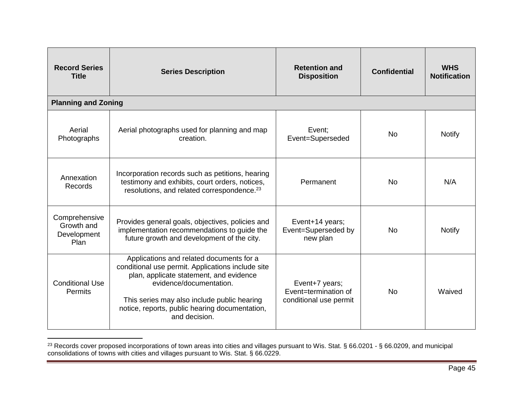| <b>Record Series</b><br><b>Title</b>               | <b>Series Description</b>                                                                                                                                                                                                                                                             | <b>Retention and</b><br><b>Disposition</b>                       | <b>Confidential</b> | <b>WHS</b><br><b>Notification</b> |
|----------------------------------------------------|---------------------------------------------------------------------------------------------------------------------------------------------------------------------------------------------------------------------------------------------------------------------------------------|------------------------------------------------------------------|---------------------|-----------------------------------|
| <b>Planning and Zoning</b>                         |                                                                                                                                                                                                                                                                                       |                                                                  |                     |                                   |
| Aerial<br>Photographs                              | Aerial photographs used for planning and map<br>creation.                                                                                                                                                                                                                             | Event;<br>Event=Superseded                                       | No                  | <b>Notify</b>                     |
| Annexation<br>Records                              | Incorporation records such as petitions, hearing<br>testimony and exhibits, court orders, notices,<br>resolutions, and related correspondence. <sup>23</sup>                                                                                                                          | Permanent                                                        | <b>No</b>           | N/A                               |
| Comprehensive<br>Growth and<br>Development<br>Plan | Provides general goals, objectives, policies and<br>implementation recommendations to guide the<br>future growth and development of the city.                                                                                                                                         | Event+14 years;<br>Event=Superseded by<br>new plan               | <b>No</b>           | <b>Notify</b>                     |
| <b>Conditional Use</b><br><b>Permits</b>           | Applications and related documents for a<br>conditional use permit. Applications include site<br>plan, applicate statement, and evidence<br>evidence/documentation.<br>This series may also include public hearing<br>notice, reports, public hearing documentation,<br>and decision. | Event+7 years;<br>Event=termination of<br>conditional use permit | No                  | Waived                            |

<sup>&</sup>lt;sup>23</sup> Records cover proposed incorporations of town areas into cities and villages pursuant to Wis. Stat. § 66.0201 - § 66.0209, and municipal consolidations of towns with cities and villages pursuant to Wis. Stat. § 66.0229.

 $\overline{a}$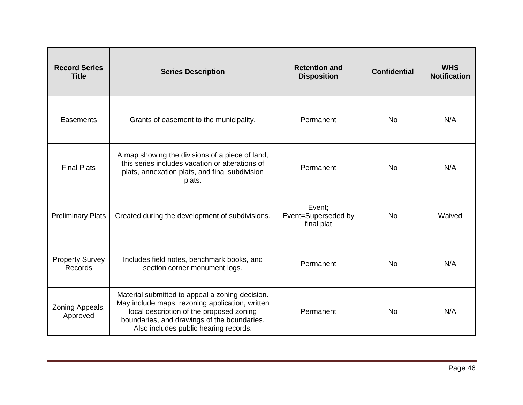| <b>Record Series</b><br><b>Title</b> | <b>Series Description</b>                                                                                                                                                                                                              | <b>Retention and</b><br><b>Disposition</b>  | <b>Confidential</b> | <b>WHS</b><br><b>Notification</b> |
|--------------------------------------|----------------------------------------------------------------------------------------------------------------------------------------------------------------------------------------------------------------------------------------|---------------------------------------------|---------------------|-----------------------------------|
| Easements                            | Grants of easement to the municipality.                                                                                                                                                                                                | Permanent                                   | <b>No</b>           | N/A                               |
| <b>Final Plats</b>                   | A map showing the divisions of a piece of land,<br>this series includes vacation or alterations of<br>plats, annexation plats, and final subdivision<br>plats.                                                                         | Permanent                                   | No.                 | N/A                               |
| <b>Preliminary Plats</b>             | Created during the development of subdivisions.                                                                                                                                                                                        | Event;<br>Event=Superseded by<br>final plat | <b>No</b>           | Waived                            |
| <b>Property Survey</b><br>Records    | Includes field notes, benchmark books, and<br>section corner monument logs.                                                                                                                                                            | Permanent                                   | <b>No</b>           | N/A                               |
| Zoning Appeals,<br>Approved          | Material submitted to appeal a zoning decision.<br>May include maps, rezoning application, written<br>local description of the proposed zoning<br>boundaries, and drawings of the boundaries.<br>Also includes public hearing records. | Permanent                                   | <b>No</b>           | N/A                               |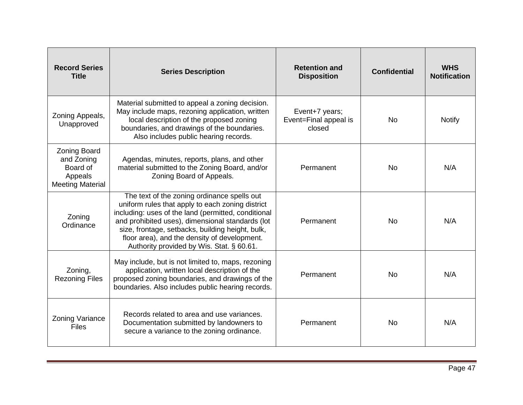| <b>Record Series</b><br><b>Title</b>                                                | <b>Series Description</b>                                                                                                                                                                                                                                                                                                                                   | <b>Retention and</b><br><b>Disposition</b>        | <b>Confidential</b> | <b>WHS</b><br><b>Notification</b> |
|-------------------------------------------------------------------------------------|-------------------------------------------------------------------------------------------------------------------------------------------------------------------------------------------------------------------------------------------------------------------------------------------------------------------------------------------------------------|---------------------------------------------------|---------------------|-----------------------------------|
| Zoning Appeals,<br>Unapproved                                                       | Material submitted to appeal a zoning decision.<br>May include maps, rezoning application, written<br>local description of the proposed zoning<br>boundaries, and drawings of the boundaries.<br>Also includes public hearing records.                                                                                                                      | Event+7 years;<br>Event=Final appeal is<br>closed | <b>No</b>           | <b>Notify</b>                     |
| <b>Zoning Board</b><br>and Zoning<br>Board of<br>Appeals<br><b>Meeting Material</b> | Agendas, minutes, reports, plans, and other<br>material submitted to the Zoning Board, and/or<br>Zoning Board of Appeals.                                                                                                                                                                                                                                   | Permanent                                         | <b>No</b>           | N/A                               |
| Zoning<br>Ordinance                                                                 | The text of the zoning ordinance spells out<br>uniform rules that apply to each zoning district<br>including: uses of the land (permitted, conditional<br>and prohibited uses), dimensional standards (lot<br>size, frontage, setbacks, building height, bulk,<br>floor area), and the density of development.<br>Authority provided by Wis. Stat. § 60.61. | Permanent                                         | No.                 | N/A                               |
| Zoning,<br><b>Rezoning Files</b>                                                    | May include, but is not limited to, maps, rezoning<br>application, written local description of the<br>proposed zoning boundaries, and drawings of the<br>boundaries. Also includes public hearing records.                                                                                                                                                 | Permanent                                         | <b>No</b>           | N/A                               |
| <b>Zoning Variance</b><br><b>Files</b>                                              | Records related to area and use variances.<br>Documentation submitted by landowners to<br>secure a variance to the zoning ordinance.                                                                                                                                                                                                                        | Permanent                                         | <b>No</b>           | N/A                               |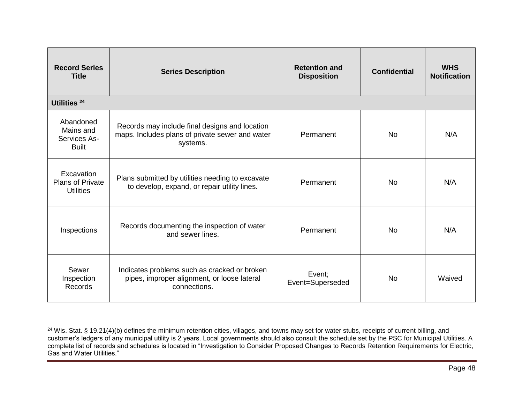| <b>Record Series</b><br><b>Title</b>                      | <b>Series Description</b>                                                                                     | <b>Retention and</b><br><b>Disposition</b> | <b>Confidential</b> | <b>WHS</b><br><b>Notification</b> |
|-----------------------------------------------------------|---------------------------------------------------------------------------------------------------------------|--------------------------------------------|---------------------|-----------------------------------|
| Utilities <sup>24</sup>                                   |                                                                                                               |                                            |                     |                                   |
| Abandoned<br>Mains and<br>Services As-<br><b>Built</b>    | Records may include final designs and location<br>maps. Includes plans of private sewer and water<br>systems. | Permanent                                  | <b>No</b>           | N/A                               |
| Excavation<br><b>Plans of Private</b><br><b>Utilities</b> | Plans submitted by utilities needing to excavate<br>to develop, expand, or repair utility lines.              | Permanent                                  | <b>No</b>           | N/A                               |
| Inspections                                               | Records documenting the inspection of water<br>and sewer lines.                                               | Permanent                                  | <b>No</b>           | N/A                               |
| Sewer<br>Inspection<br>Records                            | Indicates problems such as cracked or broken<br>pipes, improper alignment, or loose lateral<br>connections.   | Event;<br>Event=Superseded                 | <b>No</b>           | Waived                            |

 $\overline{a}$ <sup>24</sup> Wis. Stat. § 19.21(4)(b) defines the minimum retention cities, villages, and towns may set for water stubs, receipts of current billing, and customer's ledgers of any municipal utility is 2 years. Local governments should also consult the schedule set by the PSC for Municipal Utilities. A complete list of records and schedules is located in "Investigation to Consider Proposed Changes to Records Retention Requirements for Electric, Gas and Water Utilities."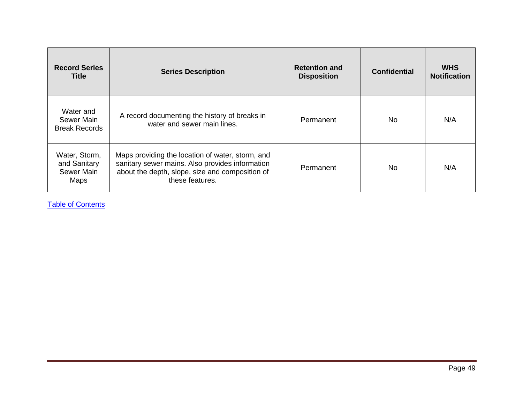| <b>Record Series</b><br><b>Title</b>                | <b>Series Description</b>                                                                                                                                                 | <b>Retention and</b><br><b>Disposition</b> | <b>Confidential</b> | <b>WHS</b><br><b>Notification</b> |
|-----------------------------------------------------|---------------------------------------------------------------------------------------------------------------------------------------------------------------------------|--------------------------------------------|---------------------|-----------------------------------|
| Water and<br>Sewer Main<br><b>Break Records</b>     | A record documenting the history of breaks in<br>water and sewer main lines.                                                                                              | Permanent                                  | No.                 | N/A                               |
| Water, Storm,<br>and Sanitary<br>Sewer Main<br>Maps | Maps providing the location of water, storm, and<br>sanitary sewer mains. Also provides information<br>about the depth, slope, size and composition of<br>these features. | Permanent                                  | No.                 | N/A                               |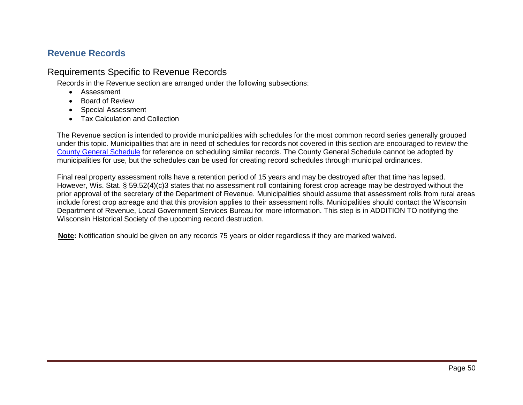# <span id="page-50-0"></span>**Revenue Records**

# Requirements Specific to Revenue Records

Records in the Revenue section are arranged under the following subsections:

- Assessment
- Board of Review
- Special Assessment
- Tax Calculation and Collection

The Revenue section is intended to provide municipalities with schedules for the most common record series generally grouped under this topic. Municipalities that are in need of schedules for records not covered in this section are encouraged to review the [County General Schedule](http://publicrecordsboard.wi.gov/docview.asp?docid=19641&locid=165) for reference on scheduling similar records. The County General Schedule cannot be adopted by municipalities for use, but the schedules can be used for creating record schedules through municipal ordinances.

Final real property assessment rolls have a retention period of 15 years and may be destroyed after that time has lapsed. However, Wis. Stat. § 59.52(4)(c)3 states that no assessment roll containing forest crop acreage may be destroyed without the prior approval of the secretary of the Department of Revenue. Municipalities should assume that assessment rolls from rural areas include forest crop acreage and that this provision applies to their assessment rolls. Municipalities should contact the Wisconsin Department of Revenue, Local Government Services Bureau for more information. This step is in ADDITION TO notifying the Wisconsin Historical Society of the upcoming record destruction.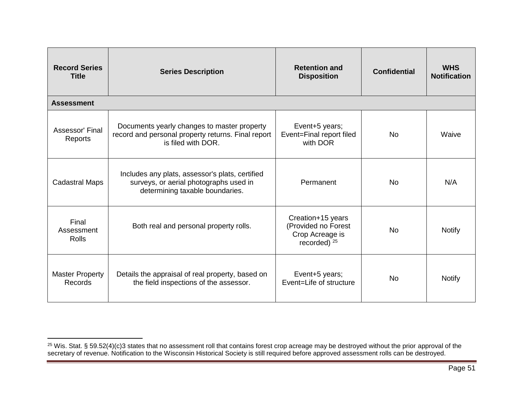| <b>Record Series</b><br><b>Title</b>     | <b>Series Description</b>                                                                                                    | <b>Retention and</b><br><b>Disposition</b>                                    | <b>Confidential</b> | <b>WHS</b><br><b>Notification</b> |
|------------------------------------------|------------------------------------------------------------------------------------------------------------------------------|-------------------------------------------------------------------------------|---------------------|-----------------------------------|
| <b>Assessment</b>                        |                                                                                                                              |                                                                               |                     |                                   |
| Assessor' Final<br>Reports               | Documents yearly changes to master property<br>record and personal property returns. Final report<br>is filed with DOR.      | Event+5 years;<br>Event=Final report filed<br>with DOR                        | <b>No</b>           | Waive                             |
| <b>Cadastral Maps</b>                    | Includes any plats, assessor's plats, certified<br>surveys, or aerial photographs used in<br>determining taxable boundaries. | Permanent                                                                     | <b>No</b>           | N/A                               |
| Final<br>Assessment<br>Rolls             | Both real and personal property rolls.                                                                                       | Creation+15 years<br>(Provided no Forest<br>Crop Acreage is<br>recorded) $25$ | <b>No</b>           | <b>Notify</b>                     |
| <b>Master Property</b><br><b>Records</b> | Details the appraisal of real property, based on<br>the field inspections of the assessor.                                   | Event+5 years;<br>Event=Life of structure                                     | <b>No</b>           | <b>Notify</b>                     |

 $\overline{a}$ 

 $25$  Wis. Stat. § 59.52(4)(c)3 states that no assessment roll that contains forest crop acreage may be destroyed without the prior approval of the secretary of revenue. Notification to the Wisconsin Historical Society is still required before approved assessment rolls can be destroyed.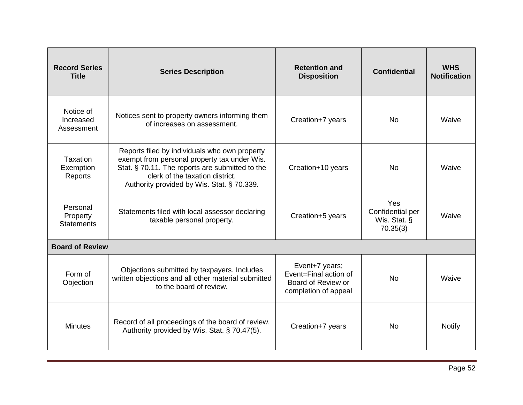| <b>Record Series</b><br><b>Title</b>      | <b>Series Description</b>                                                                                                                                                                                                         | <b>Retention and</b><br><b>Disposition</b>                                            | <b>Confidential</b>                                 | <b>WHS</b><br><b>Notification</b> |
|-------------------------------------------|-----------------------------------------------------------------------------------------------------------------------------------------------------------------------------------------------------------------------------------|---------------------------------------------------------------------------------------|-----------------------------------------------------|-----------------------------------|
| Notice of<br>Increased<br>Assessment      | Notices sent to property owners informing them<br>of increases on assessment.                                                                                                                                                     | Creation+7 years                                                                      | <b>No</b>                                           | Waive                             |
| Taxation<br>Exemption<br>Reports          | Reports filed by individuals who own property<br>exempt from personal property tax under Wis.<br>Stat. § 70.11. The reports are submitted to the<br>clerk of the taxation district.<br>Authority provided by Wis. Stat. § 70.339. | Creation+10 years                                                                     | <b>No</b>                                           | Waive                             |
| Personal<br>Property<br><b>Statements</b> | Statements filed with local assessor declaring<br>taxable personal property.                                                                                                                                                      | Creation+5 years                                                                      | Yes<br>Confidential per<br>Wis. Stat. §<br>70.35(3) | Waive                             |
| <b>Board of Review</b>                    |                                                                                                                                                                                                                                   |                                                                                       |                                                     |                                   |
| Form of<br>Objection                      | Objections submitted by taxpayers. Includes<br>written objections and all other material submitted<br>to the board of review.                                                                                                     | Event+7 years;<br>Event=Final action of<br>Board of Review or<br>completion of appeal | <b>No</b>                                           | Waive                             |
| <b>Minutes</b>                            | Record of all proceedings of the board of review.<br>Authority provided by Wis. Stat. § 70.47(5).                                                                                                                                 | Creation+7 years                                                                      | <b>No</b>                                           | <b>Notify</b>                     |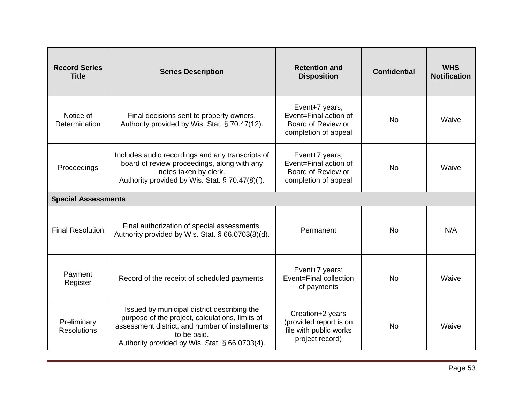| <b>Record Series</b><br><b>Title</b> | <b>Series Description</b>                                                                                                                                                                                          | <b>Retention and</b><br><b>Disposition</b>                                              | <b>Confidential</b> | <b>WHS</b><br><b>Notification</b> |
|--------------------------------------|--------------------------------------------------------------------------------------------------------------------------------------------------------------------------------------------------------------------|-----------------------------------------------------------------------------------------|---------------------|-----------------------------------|
| Notice of<br>Determination           | Final decisions sent to property owners.<br>Authority provided by Wis. Stat. § 70.47(12).                                                                                                                          | Event+7 years;<br>Event=Final action of<br>Board of Review or<br>completion of appeal   | <b>No</b>           | Waive                             |
| Proceedings                          | Includes audio recordings and any transcripts of<br>board of review proceedings, along with any<br>notes taken by clerk.<br>Authority provided by Wis. Stat. § 70.47(8)(f).                                        | Event+7 years;<br>Event=Final action of<br>Board of Review or<br>completion of appeal   | <b>No</b>           | Waive                             |
| <b>Special Assessments</b>           |                                                                                                                                                                                                                    |                                                                                         |                     |                                   |
| <b>Final Resolution</b>              | Final authorization of special assessments.<br>Authority provided by Wis. Stat. § 66.0703(8)(d).                                                                                                                   | Permanent                                                                               | <b>No</b>           | N/A                               |
| Payment<br>Register                  | Record of the receipt of scheduled payments.                                                                                                                                                                       | Event+7 years;<br>Event=Final collection<br>of payments                                 | <b>No</b>           | Waive                             |
| Preliminary<br><b>Resolutions</b>    | Issued by municipal district describing the<br>purpose of the project, calculations, limits of<br>assessment district, and number of installments<br>to be paid.<br>Authority provided by Wis. Stat. § 66.0703(4). | Creation+2 years<br>(provided report is on<br>file with public works<br>project record) | <b>No</b>           | Waive                             |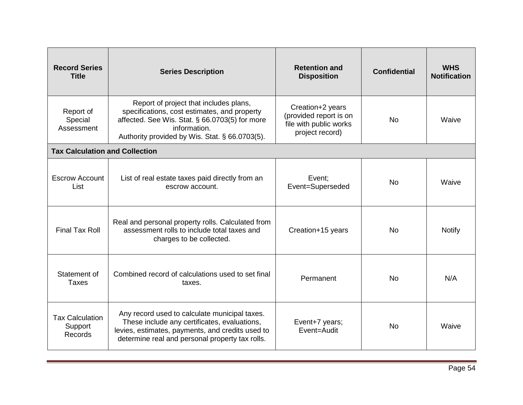| <b>Record Series</b><br><b>Title</b>         | <b>Series Description</b>                                                                                                                                                                                  | <b>Retention and</b><br><b>Disposition</b>                                              | <b>Confidential</b> | <b>WHS</b><br><b>Notification</b> |
|----------------------------------------------|------------------------------------------------------------------------------------------------------------------------------------------------------------------------------------------------------------|-----------------------------------------------------------------------------------------|---------------------|-----------------------------------|
| Report of<br>Special<br>Assessment           | Report of project that includes plans,<br>specifications, cost estimates, and property<br>affected. See Wis. Stat. § 66.0703(5) for more<br>information.<br>Authority provided by Wis. Stat. § 66.0703(5). | Creation+2 years<br>(provided report is on<br>file with public works<br>project record) | <b>No</b>           | Waive                             |
| <b>Tax Calculation and Collection</b>        |                                                                                                                                                                                                            |                                                                                         |                     |                                   |
| <b>Escrow Account</b><br>List                | List of real estate taxes paid directly from an<br>escrow account.                                                                                                                                         | Event;<br>Event=Superseded                                                              | <b>No</b>           | Waive                             |
| <b>Final Tax Roll</b>                        | Real and personal property rolls. Calculated from<br>assessment rolls to include total taxes and<br>charges to be collected.                                                                               | Creation+15 years                                                                       | <b>No</b>           | <b>Notify</b>                     |
| Statement of<br>Taxes                        | Combined record of calculations used to set final<br>taxes.                                                                                                                                                | Permanent                                                                               | <b>No</b>           | N/A                               |
| <b>Tax Calculation</b><br>Support<br>Records | Any record used to calculate municipal taxes.<br>These include any certificates, evaluations,<br>levies, estimates, payments, and credits used to<br>determine real and personal property tax rolls.       | Event+7 years;<br>Event=Audit                                                           | <b>No</b>           | Waive                             |